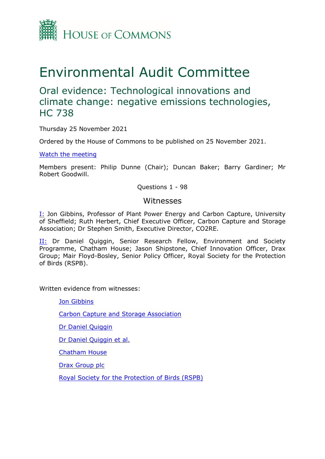

# Environmental Audit Committee

Oral evidence: Technological innovations and climate change: negative emissions technologies, HC 738

Thursday 25 November 2021

Ordered by the House of Commons to be published on 25 November 2021.

[Watch](https://www.parliamentlive.tv/Event/Index/3dc46d88-fb7c-4404-b203-b56daec51725) [the](https://www.parliamentlive.tv/Event/Index/3dc46d88-fb7c-4404-b203-b56daec51725) [meeting](https://www.parliamentlive.tv/Event/Index/3dc46d88-fb7c-4404-b203-b56daec51725)

Members present: Philip Dunne (Chair); Duncan Baker; Barry Gardiner; Mr Robert Goodwill.

Questions 1 - 98

### Witnesses

[I:](#page-1-0) Jon Gibbins, Professor of Plant Power Energy and Carbon Capture, University of Sheffield; Ruth Herbert, Chief Executive Officer, Carbon Capture and Storage Association; Dr Stephen Smith, Executive Director, CO2RE.

[II:](#page-22-0) Dr Daniel Quiggin, Senior Research Fellow, Environment and Society Programme, Chatham House; Jason Shipstone, Chief Innovation Officer, Drax Group; Mair Floyd-Bosley, Senior Policy Officer, Royal Society for the Protection of Birds (RSPB).

Written evidence from witnesses:

[Jon](https://committees.parliament.uk/writtenevidence/40564/pdf/) [Gibbins](https://committees.parliament.uk/writtenevidence/40564/pdf/)

[Carbon](https://committees.parliament.uk/writtenevidence/40474/pdf/) [Capture](https://committees.parliament.uk/writtenevidence/40474/pdf/) [and](https://committees.parliament.uk/writtenevidence/40474/pdf/) [Storage](https://committees.parliament.uk/writtenevidence/40474/pdf/) [Association](https://committees.parliament.uk/writtenevidence/40474/pdf/)

[Dr](https://committees.parliament.uk/writtenevidence/40455/pdf/) [Daniel](https://committees.parliament.uk/writtenevidence/40455/pdf/) [Quiggin](https://committees.parliament.uk/writtenevidence/40455/pdf/)

[Dr](https://committees.parliament.uk/writtenevidence/40453/pdf/) [Daniel](https://committees.parliament.uk/writtenevidence/40453/pdf/) [Quiggin](https://committees.parliament.uk/writtenevidence/40453/pdf/) [et](https://committees.parliament.uk/writtenevidence/40453/pdf/) [al.](https://committees.parliament.uk/writtenevidence/40453/pdf/)

[Chatham](https://committees.parliament.uk/writtenevidence/40678/pdf/) [House](https://committees.parliament.uk/writtenevidence/40678/pdf/)

[Drax](https://committees.parliament.uk/writtenevidence/40493/pdf/) [Group](https://committees.parliament.uk/writtenevidence/40493/pdf/) [plc](https://committees.parliament.uk/writtenevidence/40493/pdf/)

[Royal](https://committees.parliament.uk/writtenevidence/40439/pdf/) [Society](https://committees.parliament.uk/writtenevidence/40439/pdf/) [for](https://committees.parliament.uk/writtenevidence/40439/pdf/) [the](https://committees.parliament.uk/writtenevidence/40439/pdf/) [Protection](https://committees.parliament.uk/writtenevidence/40439/pdf/) [of](https://committees.parliament.uk/writtenevidence/40439/pdf/) [Birds](https://committees.parliament.uk/writtenevidence/40439/pdf/) [\(RSPB\)](https://committees.parliament.uk/writtenevidence/40439/pdf/)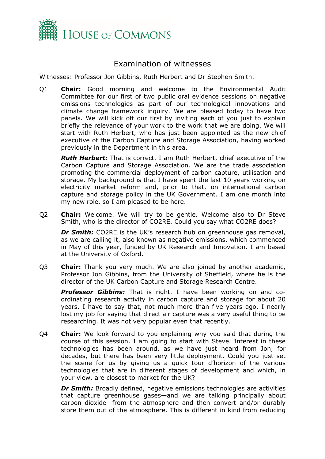

## <span id="page-1-0"></span>Examination of witnesses

Witnesses: Professor Jon Gibbins, Ruth Herbert and Dr Stephen Smith.

Q1 **Chair:** Good morning and welcome to the Environmental Audit Committee for our first of two public oral evidence sessions on negative emissions technologies as part of our technological innovations and climate change framework inquiry. We are pleased today to have two panels. We will kick off our first by inviting each of you just to explain briefly the relevance of your work to the work that we are doing. We will start with Ruth Herbert, who has just been appointed as the new chief executive of the Carbon Capture and Storage Association, having worked previously in the Department in this area.

*Ruth Herbert:* That is correct. I am Ruth Herbert, chief executive of the Carbon Capture and Storage Association. We are the trade association promoting the commercial deployment of carbon capture, utilisation and storage. My background is that I have spent the last 10 years working on electricity market reform and, prior to that, on international carbon capture and storage policy in the UK Government. I am one month into my new role, so I am pleased to be here.

Q2 **Chair:** Welcome. We will try to be gentle. Welcome also to Dr Steve Smith, who is the director of CO2RE. Could you say what CO2RE does?

*Dr Smith:* CO2RE is the UK's research hub on greenhouse gas removal, as we are calling it, also known as negative emissions, which commenced in May of this year, funded by UK Research and Innovation. I am based at the University of Oxford.

Q3 **Chair:** Thank you very much. We are also joined by another academic, Professor Jon Gibbins, from the University of Sheffield, where he is the director of the UK Carbon Capture and Storage Research Centre.

*Professor Gibbins:* That is right. I have been working on and coordinating research activity in carbon capture and storage for about 20 years. I have to say that, not much more than five years ago, I nearly lost my job for saying that direct air capture was a very useful thing to be researching. It was not very popular even that recently.

Q4 **Chair:** We look forward to you explaining why you said that during the course of this session. I am going to start with Steve. Interest in these technologies has been around, as we have just heard from Jon, for decades, but there has been very little deployment. Could you just set the scene for us by giving us a quick tour d'horizon of the various technologies that are in different stages of development and which, in your view, are closest to market for the UK?

*Dr Smith:* Broadly defined, negative emissions technologies are activities that capture greenhouse gases—and we are talking principally about carbon dioxide—from the atmosphere and then convert and/or durably store them out of the atmosphere. This is different in kind from reducing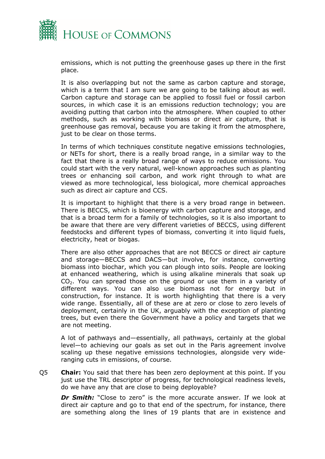

emissions, which is not putting the greenhouse gases up there in the first place.

It is also overlapping but not the same as carbon capture and storage, which is a term that I am sure we are going to be talking about as well. Carbon capture and storage can be applied to fossil fuel or fossil carbon sources, in which case it is an emissions reduction technology; you are avoiding putting that carbon into the atmosphere. When coupled to other methods, such as working with biomass or direct air capture, that is greenhouse gas removal, because you are taking it from the atmosphere, just to be clear on those terms.

In terms of which techniques constitute negative emissions technologies, or NETs for short, there is a really broad range, in a similar way to the fact that there is a really broad range of ways to reduce emissions. You could start with the very natural, well-known approaches such as planting trees or enhancing soil carbon, and work right through to what are viewed as more technological, less biological, more chemical approaches such as direct air capture and CCS.

It is important to highlight that there is a very broad range in between. There is BECCS, which is bioenergy with carbon capture and storage, and that is a broad term for a family of technologies, so it is also important to be aware that there are very different varieties of BECCS, using different feedstocks and different types of biomass, converting it into liquid fuels, electricity, heat or biogas.

There are also other approaches that are not BECCS or direct air capture and storage—BECCS and DACS—but involve, for instance, converting biomass into biochar, which you can plough into soils. People are looking at enhanced weathering, which is using alkaline minerals that soak up  $CO<sub>2</sub>$ . You can spread those on the ground or use them in a variety of different ways. You can also use biomass not for energy but in construction, for instance. It is worth highlighting that there is a very wide range. Essentially, all of these are at zero or close to zero levels of deployment, certainly in the UK, arguably with the exception of planting trees, but even there the Government have a policy and targets that we are not meeting.

A lot of pathways and—essentially, all pathways, certainly at the global level—to achieving our goals as set out in the Paris agreement involve scaling up these negative emissions technologies, alongside very wideranging cuts in emissions, of course.

Q5 **Chair:** You said that there has been zero deployment at this point. If you just use the TRL descriptor of progress, for technological readiness levels, do we have any that are close to being deployable?

**Dr Smith:** "Close to zero" is the more accurate answer. If we look at direct air capture and go to that end of the spectrum, for instance, there are something along the lines of 19 plants that are in existence and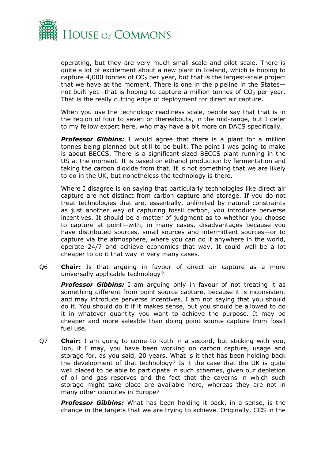

operating, but they are very much small scale and pilot scale. There is quite a lot of excitement about a new plant in Iceland, which is hoping to capture 4,000 tonnes of  $CO<sub>2</sub>$  per year, but that is the largest-scale project that we have at the moment. There is one in the pipeline in the States not built yet—that is hoping to capture a million tonnes of  $CO<sub>2</sub>$  per year. That is the really cutting edge of deployment for direct air capture.

When you use the technology readiness scale, people say that that is in the region of four to seven or thereabouts, in the mid-range, but I defer to my fellow expert here, who may have a bit more on DACS specifically.

**Professor Gibbins:** I would agree that there is a plant for a million tonnes being planned but still to be built. The point I was going to make is about BECCS. There is a significant-sized BECCS plant running in the US at the moment. It is based on ethanol production by fermentation and taking the carbon dioxide from that. It is not something that we are likely to do in the UK, but nonetheless the technology is there.

Where I disagree is on saying that particularly technologies like direct air capture are not distinct from carbon capture and storage. If you do not treat technologies that are, essentially, unlimited by natural constraints as just another way of capturing fossil carbon, you introduce perverse incentives. It should be a matter of judgment as to whether you choose to capture at point—with, in many cases, disadvantages because you have distributed sources, small sources and intermittent sources—or to capture via the atmosphere, where you can do it anywhere in the world, operate 24/7 and achieve economies that way. It could well be a lot cheaper to do it that way in very many cases.

Q6 **Chair:** Is that arguing in favour of direct air capture as a more universally applicable technology?

*Professor Gibbins:* I am arguing only in favour of not treating it as something different from point source capture, because it is inconsistent and may introduce perverse incentives. I am not saying that you should do it. You should do it if it makes sense, but you should be allowed to do it in whatever quantity you want to achieve the purpose. It may be cheaper and more saleable than doing point source capture from fossil fuel use.

Q7 **Chair:** I am going to come to Ruth in a second, but sticking with you, Jon, if I may, you have been working on carbon capture, usage and storage for, as you said, 20 years. What is it that has been holding back the development of that technology? Is it the case that the UK is quite well placed to be able to participate in such schemes, given our depletion of oil and gas reserves and the fact that the caverns in which such storage might take place are available here, whereas they are not in many other countries in Europe?

*Professor Gibbins:* What has been holding it back, in a sense, is the change in the targets that we are trying to achieve. Originally, CCS in the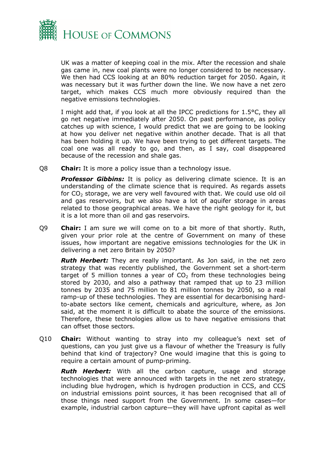

UK was a matter of keeping coal in the mix. After the recession and shale gas came in, new coal plants were no longer considered to be necessary. We then had CCS looking at an 80% reduction target for 2050. Again, it was necessary but it was further down the line. We now have a net zero target, which makes CCS much more obviously required than the negative emissions technologies.

I might add that, if you look at all the IPCC predictions for 1.5°C, they all go net negative immediately after 2050. On past performance, as policy catches up with science, I would predict that we are going to be looking at how you deliver net negative within another decade. That is all that has been holding it up. We have been trying to get different targets. The coal one was all ready to go, and then, as I say, coal disappeared because of the recession and shale gas.

Q8 **Chair:** It is more a policy issue than a technology issue.

**Professor Gibbins:** It is policy as delivering climate science. It is an understanding of the climate science that is required. As regards assets for  $CO<sub>2</sub>$  storage, we are very well favoured with that. We could use old oil and gas reservoirs, but we also have a lot of aquifer storage in areas related to those geographical areas. We have the right geology for it, but it is a lot more than oil and gas reservoirs.

Q9 **Chair:** I am sure we will come on to a bit more of that shortly. Ruth, given your prior role at the centre of Government on many of these issues, how important are negative emissions technologies for the UK in delivering a net zero Britain by 2050?

*Ruth Herbert:* They are really important. As Jon said, in the net zero strategy that was recently published, the Government set a short-term target of 5 million tonnes a year of  $CO<sub>2</sub>$  from these technologies being stored by 2030, and also a pathway that ramped that up to 23 million tonnes by 2035 and 75 million to 81 million tonnes by 2050, so a real ramp-up of these technologies. They are essential for decarbonising hardto-abate sectors like cement, chemicals and agriculture, where, as Jon said, at the moment it is difficult to abate the source of the emissions. Therefore, these technologies allow us to have negative emissions that can offset those sectors.

Q10 **Chair:** Without wanting to stray into my colleague's next set of questions, can you just give us a flavour of whether the Treasury is fully behind that kind of trajectory? One would imagine that this is going to require a certain amount of pump-priming.

*Ruth Herbert:* With all the carbon capture, usage and storage technologies that were announced with targets in the net zero strategy, including blue hydrogen, which is hydrogen production in CCS, and CCS on industrial emissions point sources, it has been recognised that all of those things need support from the Government. In some cases—for example, industrial carbon capture—they will have upfront capital as well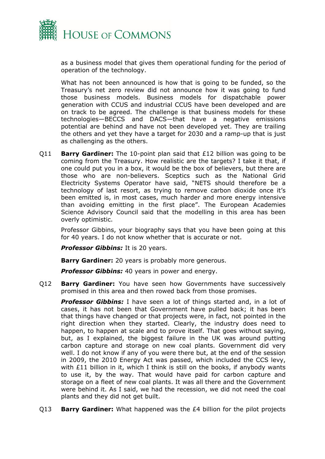

as a business model that gives them operational funding for the period of operation of the technology.

What has not been announced is how that is going to be funded, so the Treasury's net zero review did not announce how it was going to fund those business models. Business models for dispatchable power generation with CCUS and industrial CCUS have been developed and are on track to be agreed. The challenge is that business models for these technologies—BECCS and DACS—that have a negative emissions potential are behind and have not been developed yet. They are trailing the others and yet they have a target for 2030 and a ramp-up that is just as challenging as the others.

Q11 **Barry Gardiner:** The 10-point plan said that £12 billion was going to be coming from the Treasury. How realistic are the targets? I take it that, if one could put you in a box, it would be the box of believers, but there are those who are non-believers. Sceptics such as the National Grid Electricity Systems Operator have said, "NETS should therefore be a technology of last resort, as trying to remove carbon dioxide once it's been emitted is, in most cases, much harder and more energy intensive than avoiding emitting in the first place". The European Academies Science Advisory Council said that the modelling in this area has been overly optimistic.

Professor Gibbins, your biography says that you have been going at this for 40 years. I do not know whether that is accurate or not.

**Professor Gibbins:** It is 20 years.

**Barry Gardiner:** 20 years is probably more generous.

*Professor Gibbins:* 40 years in power and energy.

Q12 **Barry Gardiner:** You have seen how Governments have successively promised in this area and then rowed back from those promises.

*Professor Gibbins:* I have seen a lot of things started and, in a lot of cases, it has not been that Government have pulled back; it has been that things have changed or that projects were, in fact, not pointed in the right direction when they started. Clearly, the industry does need to happen, to happen at scale and to prove itself. That goes without saying, but, as I explained, the biggest failure in the UK was around putting carbon capture and storage on new coal plants. Government did very well. I do not know if any of you were there but, at the end of the session in 2009, the 2010 Energy Act was passed, which included the CCS levy, with £11 billion in it, which I think is still on the books, if anybody wants to use it, by the way. That would have paid for carbon capture and storage on a fleet of new coal plants. It was all there and the Government were behind it. As I said, we had the recession, we did not need the coal plants and they did not get built.

Q13 **Barry Gardiner:** What happened was the £4 billion for the pilot projects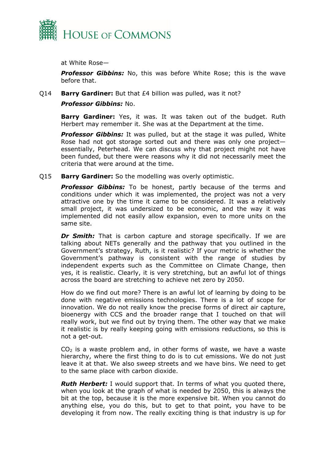

at White Rose—

*Professor Gibbins:* No, this was before White Rose; this is the wave before that.

Q14 **Barry Gardiner:** But that £4 billion was pulled, was it not?

#### *Professor Gibbins:* No.

**Barry Gardiner:** Yes, it was. It was taken out of the budget. Ruth Herbert may remember it. She was at the Department at the time.

*Professor Gibbins:* It was pulled, but at the stage it was pulled, White Rose had not got storage sorted out and there was only one projectessentially, Peterhead. We can discuss why that project might not have been funded, but there were reasons why it did not necessarily meet the criteria that were around at the time.

Q15 **Barry Gardiner:** So the modelling was overly optimistic.

**Professor Gibbins:** To be honest, partly because of the terms and conditions under which it was implemented, the project was not a very attractive one by the time it came to be considered. It was a relatively small project, it was undersized to be economic, and the way it was implemented did not easily allow expansion, even to more units on the same site.

*Dr Smith:* That is carbon capture and storage specifically. If we are talking about NETs generally and the pathway that you outlined in the Government's strategy, Ruth, is it realistic? If your metric is whether the Government's pathway is consistent with the range of studies by independent experts such as the Committee on Climate Change, then yes, it is realistic. Clearly, it is very stretching, but an awful lot of things across the board are stretching to achieve net zero by 2050.

How do we find out more? There is an awful lot of learning by doing to be done with negative emissions technologies. There is a lot of scope for innovation. We do not really know the precise forms of direct air capture, bioenergy with CCS and the broader range that I touched on that will really work, but we find out by trying them. The other way that we make it realistic is by really keeping going with emissions reductions, so this is not a get-out.

 $CO<sub>2</sub>$  is a waste problem and, in other forms of waste, we have a waste hierarchy, where the first thing to do is to cut emissions. We do not just leave it at that. We also sweep streets and we have bins. We need to get to the same place with carbon dioxide.

*Ruth Herbert:* I would support that. In terms of what you quoted there, when you look at the graph of what is needed by 2050, this is always the bit at the top, because it is the more expensive bit. When you cannot do anything else, you do this, but to get to that point, you have to be developing it from now. The really exciting thing is that industry is up for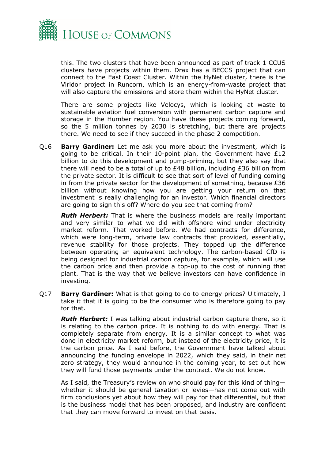

this. The two clusters that have been announced as part of track 1 CCUS clusters have projects within them. Drax has a BECCS project that can connect to the East Coast Cluster. Within the HyNet cluster, there is the Viridor project in Runcorn, which is an energy-from-waste project that will also capture the emissions and store them within the HyNet cluster.

There are some projects like Velocys, which is looking at waste to sustainable aviation fuel conversion with permanent carbon capture and storage in the Humber region. You have these projects coming forward, so the 5 million tonnes by 2030 is stretching, but there are projects there. We need to see if they succeed in the phase 2 competition.

Q16 **Barry Gardiner:** Let me ask you more about the investment, which is going to be critical. In their 10-point plan, the Government have £12 billion to do this development and pump-priming, but they also say that there will need to be a total of up to £48 billion, including £36 billion from the private sector. It is difficult to see that sort of level of funding coming in from the private sector for the development of something, because £36 billion without knowing how you are getting your return on that investment is really challenging for an investor. Which financial directors are going to sign this off? Where do you see that coming from?

*Ruth Herbert:* That is where the business models are really important and very similar to what we did with offshore wind under electricity market reform. That worked before. We had contracts for difference, which were long-term, private law contracts that provided, essentially, revenue stability for those projects. They topped up the difference between operating an equivalent technology. The carbon-based CfD is being designed for industrial carbon capture, for example, which will use the carbon price and then provide a top-up to the cost of running that plant. That is the way that we believe investors can have confidence in investing.

Q17 **Barry Gardiner:** What is that going to do to energy prices? Ultimately, I take it that it is going to be the consumer who is therefore going to pay for that.

*Ruth Herbert:* I was talking about industrial carbon capture there, so it is relating to the carbon price. It is nothing to do with energy. That is completely separate from energy. It is a similar concept to what was done in electricity market reform, but instead of the electricity price, it is the carbon price. As I said before, the Government have talked about announcing the funding envelope in 2022, which they said, in their net zero strategy, they would announce in the coming year, to set out how they will fund those payments under the contract. We do not know.

As I said, the Treasury's review on who should pay for this kind of thing whether it should be general taxation or levies—has not come out with firm conclusions yet about how they will pay for that differential, but that is the business model that has been proposed, and industry are confident that they can move forward to invest on that basis.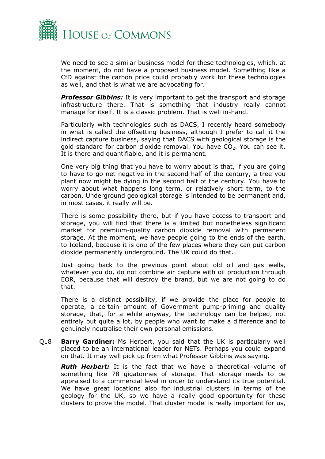

We need to see a similar business model for these technologies, which, at the moment, do not have a proposed business model. Something like a CfD against the carbon price could probably work for these technologies as well, and that is what we are advocating for.

*Professor Gibbins:* It is very important to get the transport and storage infrastructure there. That is something that industry really cannot manage for itself. It is a classic problem. That is well in-hand.

Particularly with technologies such as DACS, I recently heard somebody in what is called the offsetting business, although I prefer to call it the indirect capture business, saying that DACS with geological storage is the gold standard for carbon dioxide removal. You have  $CO<sub>2</sub>$ . You can see it. It is there and quantifiable, and it is permanent.

One very big thing that you have to worry about is that, if you are going to have to go net negative in the second half of the century, a tree you plant now might be dying in the second half of the century. You have to worry about what happens long term, or relatively short term, to the carbon. Underground geological storage is intended to be permanent and, in most cases, it really will be.

There is some possibility there, but if you have access to transport and storage, you will find that there is a limited but nonetheless significant market for premium-quality carbon dioxide removal with permanent storage. At the moment, we have people going to the ends of the earth, to Iceland, because it is one of the few places where they can put carbon dioxide permanently underground. The UK could do that.

Just going back to the previous point about old oil and gas wells, whatever you do, do not combine air capture with oil production through EOR, because that will destroy the brand, but we are not going to do that.

There is a distinct possibility, if we provide the place for people to operate, a certain amount of Government pump-priming and quality storage, that, for a while anyway, the technology can be helped, not entirely but quite a lot, by people who want to make a difference and to genuinely neutralise their own personal emissions.

Q18 **Barry Gardiner:** Ms Herbert, you said that the UK is particularly well placed to be an international leader for NETs. Perhaps you could expand on that. It may well pick up from what Professor Gibbins was saying.

*Ruth Herbert:* It is the fact that we have a theoretical volume of something like 78 gigatonnes of storage. That storage needs to be appraised to a commercial level in order to understand its true potential. We have great locations also for industrial clusters in terms of the geology for the UK, so we have a really good opportunity for these clusters to prove the model. That cluster model is really important for us,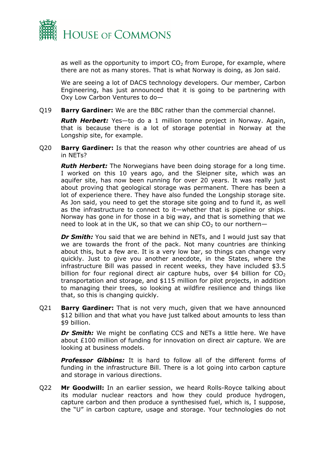

as well as the opportunity to import  $CO<sub>2</sub>$  from Europe, for example, where there are not as many stores. That is what Norway is doing, as Jon said.

We are seeing a lot of DACS technology developers. Our member, Carbon Engineering, has just announced that it is going to be partnering with Oxy Low Carbon Ventures to do—

Q19 **Barry Gardiner:** We are the BBC rather than the commercial channel.

*Ruth Herbert:* Yes—to do a 1 million tonne project in Norway. Again, that is because there is a lot of storage potential in Norway at the Longship site, for example.

Q20 **Barry Gardiner:** Is that the reason why other countries are ahead of us in NETs?

*Ruth Herbert:* The Norwegians have been doing storage for a long time. I worked on this 10 years ago, and the Sleipner site, which was an aquifer site, has now been running for over 20 years. It was really just about proving that geological storage was permanent. There has been a lot of experience there. They have also funded the Longship storage site. As Jon said, you need to get the storage site going and to fund it, as well as the infrastructure to connect to it—whether that is pipeline or ships. Norway has gone in for those in a big way, and that is something that we need to look at in the UK, so that we can ship  $CO<sub>2</sub>$  to our northern-

*Dr Smith:* You said that we are behind in NETs, and I would just say that we are towards the front of the pack. Not many countries are thinking about this, but a few are. It is a very low bar, so things can change very quickly. Just to give you another anecdote, in the States, where the infrastructure Bill was passed in recent weeks, they have included \$3.5 billion for four regional direct air capture hubs, over \$4 billion for  $CO<sub>2</sub>$ transportation and storage, and \$115 million for pilot projects, in addition to managing their trees, so looking at wildfire resilience and things like that, so this is changing quickly.

Q21 **Barry Gardiner:** That is not very much, given that we have announced \$12 billion and that what you have just talked about amounts to less than \$9 billion.

**Dr Smith:** We might be conflating CCS and NETs a little here. We have about £100 million of funding for innovation on direct air capture. We are looking at business models.

*Professor Gibbins:* It is hard to follow all of the different forms of funding in the infrastructure Bill. There is a lot going into carbon capture and storage in various directions.

Q22 **Mr Goodwill:** In an earlier session, we heard Rolls-Royce talking about its modular nuclear reactors and how they could produce hydrogen, capture carbon and then produce a synthesised fuel, which is, I suppose, the "U" in carbon capture, usage and storage. Your technologies do not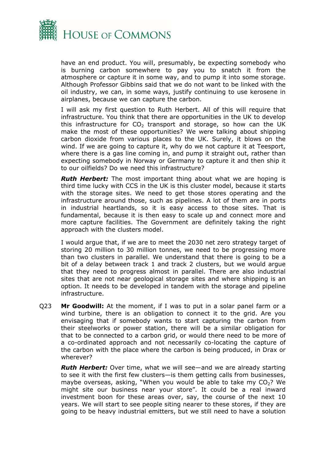

have an end product. You will, presumably, be expecting somebody who is burning carbon somewhere to pay you to snatch it from the atmosphere or capture it in some way, and to pump it into some storage. Although Professor Gibbins said that we do not want to be linked with the oil industry, we can, in some ways, justify continuing to use kerosene in airplanes, because we can capture the carbon.

I will ask my first question to Ruth Herbert. All of this will require that infrastructure. You think that there are opportunities in the UK to develop this infrastructure for  $CO<sub>2</sub>$  transport and storage, so how can the UK make the most of these opportunities? We were talking about shipping carbon dioxide from various places to the UK. Surely, it blows on the wind. If we are going to capture it, why do we not capture it at Teesport, where there is a gas line coming in, and pump it straight out, rather than expecting somebody in Norway or Germany to capture it and then ship it to our oilfields? Do we need this infrastructure?

*Ruth Herbert:* The most important thing about what we are hoping is third time lucky with CCS in the UK is this cluster model, because it starts with the storage sites. We need to get those stores operating and the infrastructure around those, such as pipelines. A lot of them are in ports in industrial heartlands, so it is easy access to those sites. That is fundamental, because it is then easy to scale up and connect more and more capture facilities. The Government are definitely taking the right approach with the clusters model.

I would argue that, if we are to meet the 2030 net zero strategy target of storing 20 million to 30 million tonnes, we need to be progressing more than two clusters in parallel. We understand that there is going to be a bit of a delay between track 1 and track 2 clusters, but we would argue that they need to progress almost in parallel. There are also industrial sites that are not near geological storage sites and where shipping is an option. It needs to be developed in tandem with the storage and pipeline infrastructure.

Q23 **Mr Goodwill:** At the moment, if I was to put in a solar panel farm or a wind turbine, there is an obligation to connect it to the grid. Are you envisaging that if somebody wants to start capturing the carbon from their steelworks or power station, there will be a similar obligation for that to be connected to a carbon grid, or would there need to be more of a co-ordinated approach and not necessarily co-locating the capture of the carbon with the place where the carbon is being produced, in Drax or wherever?

*Ruth Herbert:* Over time, what we will see—and we are already starting to see it with the first few clusters—is them getting calls from businesses, maybe overseas, asking, "When you would be able to take my  $CO<sub>2</sub>$ ? We might site our business near your store". It could be a real inward investment boon for these areas over, say, the course of the next 10 years. We will start to see people siting nearer to these stores, if they are going to be heavy industrial emitters, but we still need to have a solution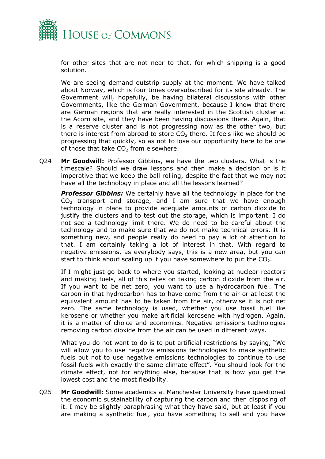

for other sites that are not near to that, for which shipping is a good solution.

We are seeing demand outstrip supply at the moment. We have talked about Norway, which is four times oversubscribed for its site already. The Government will, hopefully, be having bilateral discussions with other Governments, like the German Government, because I know that there are German regions that are really interested in the Scottish cluster at the Acorn site, and they have been having discussions there. Again, that is a reserve cluster and is not progressing now as the other two, but there is interest from abroad to store  $CO<sub>2</sub>$  there. It feels like we should be progressing that quickly, so as not to lose our opportunity here to be one of those that take  $CO<sub>2</sub>$  from elsewhere.

Q24 **Mr Goodwill:** Professor Gibbins, we have the two clusters. What is the timescale? Should we draw lessons and then make a decision or is it imperative that we keep the ball rolling, despite the fact that we may not have all the technology in place and all the lessons learned?

**Professor Gibbins:** We certainly have all the technology in place for the  $CO<sub>2</sub>$  transport and storage, and I am sure that we have enough technology in place to provide adequate amounts of carbon dioxide to justify the clusters and to test out the storage, which is important. I do not see a technology limit there. We do need to be careful about the technology and to make sure that we do not make technical errors. It is something new, and people really do need to pay a lot of attention to that. I am certainly taking a lot of interest in that. With regard to negative emissions, as everybody says, this is a new area, but you can start to think about scaling up if you have somewhere to put the  $CO<sub>2</sub>$ .

If I might just go back to where you started, looking at nuclear reactors and making fuels, all of this relies on taking carbon dioxide from the air. If you want to be net zero, you want to use a hydrocarbon fuel. The carbon in that hydrocarbon has to have come from the air or at least the equivalent amount has to be taken from the air, otherwise it is not net zero. The same technology is used, whether you use fossil fuel like kerosene or whether you make artificial kerosene with hydrogen. Again, it is a matter of choice and economics. Negative emissions technologies removing carbon dioxide from the air can be used in different ways.

What you do not want to do is to put artificial restrictions by saying, "We will allow you to use negative emissions technologies to make synthetic fuels but not to use negative emissions technologies to continue to use fossil fuels with exactly the same climate effect". You should look for the climate effect, not for anything else, because that is how you get the lowest cost and the most flexibility.

Q25 **Mr Goodwill:** Some academics at Manchester University have questioned the economic sustainability of capturing the carbon and then disposing of it. I may be slightly paraphrasing what they have said, but at least if you are making a synthetic fuel, you have something to sell and you have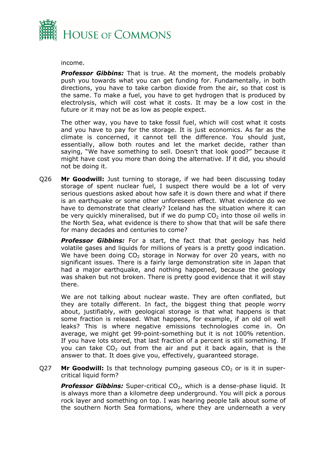

#### income.

**Professor Gibbins:** That is true. At the moment, the models probably push you towards what you can get funding for. Fundamentally, in both directions, you have to take carbon dioxide from the air, so that cost is the same. To make a fuel, you have to get hydrogen that is produced by electrolysis, which will cost what it costs. It may be a low cost in the future or it may not be as low as people expect.

The other way, you have to take fossil fuel, which will cost what it costs and you have to pay for the storage. It is just economics. As far as the climate is concerned, it cannot tell the difference. You should just, essentially, allow both routes and let the market decide, rather than saying, "We have something to sell. Doesn't that look good?" because it might have cost you more than doing the alternative. If it did, you should not be doing it.

Q26 **Mr Goodwill:** Just turning to storage, if we had been discussing today storage of spent nuclear fuel, I suspect there would be a lot of very serious questions asked about how safe it is down there and what if there is an earthquake or some other unforeseen effect. What evidence do we have to demonstrate that clearly? Iceland has the situation where it can be very quickly mineralised, but if we do pump  $CO<sub>2</sub>$  into those oil wells in the North Sea, what evidence is there to show that that will be safe there for many decades and centuries to come?

**Professor Gibbins:** For a start, the fact that that geology has held volatile gases and liquids for millions of years is a pretty good indication. We have been doing  $CO<sub>2</sub>$  storage in Norway for over 20 years, with no significant issues. There is a fairly large demonstration site in Japan that had a major earthquake, and nothing happened, because the geology was shaken but not broken. There is pretty good evidence that it will stay there.

We are not talking about nuclear waste. They are often conflated, but they are totally different. In fact, the biggest thing that people worry about, justifiably, with geological storage is that what happens is that some fraction is released. What happens, for example, if an old oil well leaks? This is where negative emissions technologies come in. On average, we might get 99-point-something but it is not 100% retention. If you have lots stored, that last fraction of a percent is still something. If you can take  $CO<sub>2</sub>$  out from the air and put it back again, that is the answer to that. It does give you, effectively, guaranteed storage.

 $Q27$  **Mr Goodwill:** Is that technology pumping gaseous  $CO<sub>2</sub>$  or is it in supercritical liquid form?

**Professor Gibbins:** Super-critical CO<sub>2</sub>, which is a dense-phase liquid. It is always more than a kilometre deep underground. You will pick a porous rock layer and something on top. I was hearing people talk about some of the southern North Sea formations, where they are underneath a very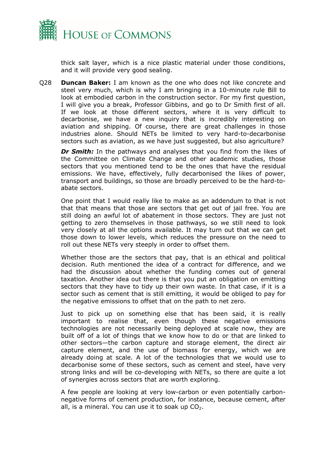

thick salt layer, which is a nice plastic material under those conditions, and it will provide very good sealing.

Q28 **Duncan Baker:** I am known as the one who does not like concrete and steel very much, which is why I am bringing in a 10-minute rule Bill to look at embodied carbon in the construction sector. For my first question, I will give you a break, Professor Gibbins, and go to Dr Smith first of all. If we look at those different sectors, where it is very difficult to decarbonise, we have a new inquiry that is incredibly interesting on aviation and shipping. Of course, there are great challenges in those industries alone. Should NETs be limited to very hard-to-decarbonise sectors such as aviation, as we have just suggested, but also agriculture?

*Dr Smith:* In the pathways and analyses that you find from the likes of the Committee on Climate Change and other academic studies, those sectors that you mentioned tend to be the ones that have the residual emissions. We have, effectively, fully decarbonised the likes of power, transport and buildings, so those are broadly perceived to be the hard-toabate sectors.

One point that I would really like to make as an addendum to that is not that that means that those are sectors that get out of jail free. You are still doing an awful lot of abatement in those sectors. They are just not getting to zero themselves in those pathways, so we still need to look very closely at all the options available. It may turn out that we can get those down to lower levels, which reduces the pressure on the need to roll out these NETs very steeply in order to offset them.

Whether those are the sectors that pay, that is an ethical and political decision. Ruth mentioned the idea of a contract for difference, and we had the discussion about whether the funding comes out of general taxation. Another idea out there is that you put an obligation on emitting sectors that they have to tidy up their own waste. In that case, if it is a sector such as cement that is still emitting, it would be obliged to pay for the negative emissions to offset that on the path to net zero.

Just to pick up on something else that has been said, it is really important to realise that, even though these negative emissions technologies are not necessarily being deployed at scale now, they are built off of a lot of things that we know how to do or that are linked to other sectors—the carbon capture and storage element, the direct air capture element, and the use of biomass for energy, which we are already doing at scale. A lot of the technologies that we would use to decarbonise some of these sectors, such as cement and steel, have very strong links and will be co-developing with NETs, so there are quite a lot of synergies across sectors that are worth exploring.

A few people are looking at very low-carbon or even potentially carbonnegative forms of cement production, for instance, because cement, after all, is a mineral. You can use it to soak up  $CO<sub>2</sub>$ .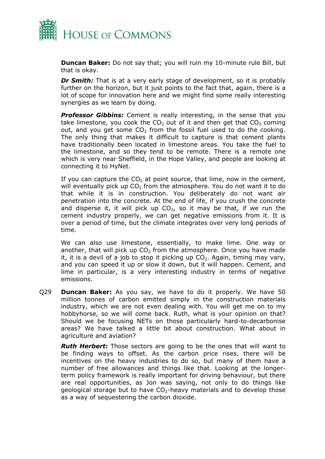

**Duncan Baker:** Do not say that; you will ruin my 10-minute rule Bill, but that is okay.

*Dr Smith:* That is at a very early stage of development, so it is probably further on the horizon, but it just points to the fact that, again, there is a lot of scope for innovation here and we might find some really interesting synergies as we learn by doing.

**Professor Gibbins:** Cement is really interesting, in the sense that you take limestone, you cook the  $CO<sub>2</sub>$  out of it and then get that  $CO<sub>2</sub>$  coming out, and you get some  $CO<sub>2</sub>$  from the fossil fuel used to do the cooking. The only thing that makes it difficult to capture is that cement plants have traditionally been located in limestone areas. You take the fuel to the limestone, and so they tend to be remote. There is a remote one which is very near Sheffield, in the Hope Valley, and people are looking at connecting it to HyNet.

If you can capture the  $CO<sub>2</sub>$  at point source, that lime, now in the cement, will eventually pick up  $CO<sub>2</sub>$  from the atmosphere. You do not want it to do that while it is in construction. You deliberately do not want air penetration into the concrete. At the end of life, if you crush the concrete and disperse it, it will pick up  $CO<sub>2</sub>$ , so it may be that, if we run the cement industry properly, we can get negative emissions from it. It is over a period of time, but the climate integrates over very long periods of time.

We can also use limestone, essentially, to make lime. One way or another, that will pick up  $CO<sub>2</sub>$  from the atmosphere. Once you have made it, it is a devil of a job to stop it picking up  $CO<sub>2</sub>$ . Again, timing may vary, and you can speed it up or slow it down, but it will happen. Cement, and lime in particular, is a very interesting industry in terms of negative emissions.

Q29 **Duncan Baker:** As you say, we have to do it properly. We have 50 million tonnes of carbon emitted simply in the construction materials industry, which we are not even dealing with. You will get me on to my hobbyhorse, so we will come back. Ruth, what is your opinion on that? Should we be focusing NETs on those particularly hard-to-decarbonise areas? We have talked a little bit about construction. What about in agriculture and aviation?

*Ruth Herbert:* Those sectors are going to be the ones that will want to be finding ways to offset. As the carbon price rises, there will be incentives on the heavy industries to do so, but many of them have a number of free allowances and things like that. Looking at the longerterm policy framework is really important for driving behaviour, but there are real opportunities, as Jon was saying, not only to do things like geological storage but to have  $CO<sub>2</sub>$ -heavy materials and to develop those as a way of sequestering the carbon dioxide.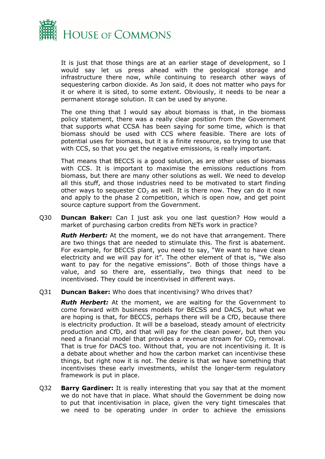

It is just that those things are at an earlier stage of development, so I would say let us press ahead with the geological storage and infrastructure there now, while continuing to research other ways of sequestering carbon dioxide. As Jon said, it does not matter who pays for it or where it is sited, to some extent. Obviously, it needs to be near a permanent storage solution. It can be used by anyone.

The one thing that I would say about biomass is that, in the biomass policy statement, there was a really clear position from the Government that supports what CCSA has been saying for some time, which is that biomass should be used with CCS where feasible. There are lots of potential uses for biomass, but it is a finite resource, so trying to use that with CCS, so that you get the negative emissions, is really important.

That means that BECCS is a good solution, as are other uses of biomass with CCS. It is important to maximise the emissions reductions from biomass, but there are many other solutions as well. We need to develop all this stuff, and those industries need to be motivated to start finding other ways to sequester  $CO<sub>2</sub>$  as well. It is there now. They can do it now and apply to the phase 2 competition, which is open now, and get point source capture support from the Government.

Q30 **Duncan Baker:** Can I just ask you one last question? How would a market of purchasing carbon credits from NETs work in practice?

*Ruth Herbert:* At the moment, we do not have that arrangement. There are two things that are needed to stimulate this. The first is abatement. For example, for BECCS plant, you need to say, "We want to have clean electricity and we will pay for it". The other element of that is, "We also want to pay for the negative emissions". Both of those things have a value, and so there are, essentially, two things that need to be incentivised. They could be incentivised in different ways.

Q31 **Duncan Baker:** Who does that incentivising? Who drives that?

*Ruth Herbert:* At the moment, we are waiting for the Government to come forward with business models for BECSS and DACS, but what we are hoping is that, for BECCS, perhaps there will be a CfD, because there is electricity production. It will be a baseload, steady amount of electricity production and CfD, and that will pay for the clean power, but then you need a financial model that provides a revenue stream for  $CO<sub>2</sub>$  removal. That is true for DACS too. Without that, you are not incentivising it. It is a debate about whether and how the carbon market can incentivise these things, but right now it is not. The desire is that we have something that incentivises these early investments, whilst the longer-term regulatory framework is put in place.

Q32 **Barry Gardiner:** It is really interesting that you say that at the moment we do not have that in place. What should the Government be doing now to put that incentivisation in place, given the very tight timescales that we need to be operating under in order to achieve the emissions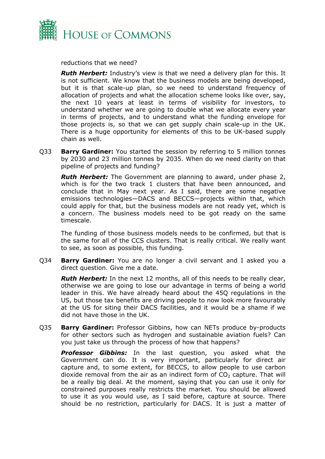

reductions that we need?

*Ruth Herbert:* Industry's view is that we need a delivery plan for this. It is not sufficient. We know that the business models are being developed, but it is that scale-up plan, so we need to understand frequency of allocation of projects and what the allocation scheme looks like over, say, the next 10 years at least in terms of visibility for investors, to understand whether we are going to double what we allocate every year in terms of projects, and to understand what the funding envelope for those projects is, so that we can get supply chain scale-up in the UK. There is a huge opportunity for elements of this to be UK-based supply chain as well.

Q33 **Barry Gardiner:** You started the session by referring to 5 million tonnes by 2030 and 23 million tonnes by 2035. When do we need clarity on that pipeline of projects and funding?

*Ruth Herbert:* The Government are planning to award, under phase 2, which is for the two track 1 clusters that have been announced, and conclude that in May next year. As I said, there are some negative emissions technologies—DACS and BECCS—projects within that, which could apply for that, but the business models are not ready yet, which is a concern. The business models need to be got ready on the same timescale.

The funding of those business models needs to be confirmed, but that is the same for all of the CCS clusters. That is really critical. We really want to see, as soon as possible, this funding.

Q34 **Barry Gardiner:** You are no longer a civil servant and I asked you a direct question. Give me a date.

*Ruth Herbert:* In the next 12 months, all of this needs to be really clear, otherwise we are going to lose our advantage in terms of being a world leader in this. We have already heard about the 45Q regulations in the US, but those tax benefits are driving people to now look more favourably at the US for siting their DACS facilities, and it would be a shame if we did not have those in the UK.

Q35 **Barry Gardiner:** Professor Gibbins, how can NETs produce by-products for other sectors such as hydrogen and sustainable aviation fuels? Can you just take us through the process of how that happens?

*Professor Gibbins:* In the last question, you asked what the Government can do. It is very important, particularly for direct air capture and, to some extent, for BECCS, to allow people to use carbon dioxide removal from the air as an indirect form of  $CO<sub>2</sub>$  capture. That will be a really big deal. At the moment, saying that you can use it only for constrained purposes really restricts the market. You should be allowed to use it as you would use, as I said before, capture at source. There should be no restriction, particularly for DACS. It is just a matter of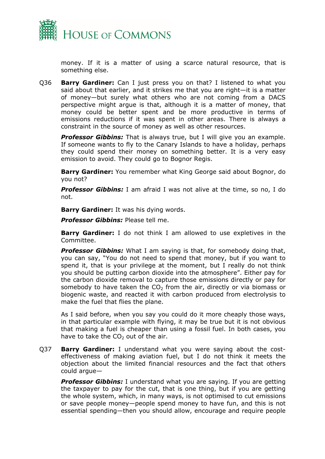

money. If it is a matter of using a scarce natural resource, that is something else.

Q36 **Barry Gardiner:** Can I just press you on that? I listened to what you said about that earlier, and it strikes me that you are right—it is a matter of money—but surely what others who are not coming from a DACS perspective might argue is that, although it is a matter of money, that money could be better spent and be more productive in terms of emissions reductions if it was spent in other areas. There is always a constraint in the source of money as well as other resources.

**Professor Gibbins:** That is always true, but I will give you an example. If someone wants to fly to the Canary Islands to have a holiday, perhaps they could spend their money on something better. It is a very easy emission to avoid. They could go to Bognor Regis.

**Barry Gardiner:** You remember what King George said about Bognor, do you not?

*Professor Gibbins:* I am afraid I was not alive at the time, so no, I do not.

**Barry Gardiner:** It was his dying words.

*Professor Gibbins:* Please tell me.

**Barry Gardiner:** I do not think I am allowed to use expletives in the Committee.

**Professor Gibbins:** What I am saying is that, for somebody doing that, you can say, "You do not need to spend that money, but if you want to spend it, that is your privilege at the moment, but I really do not think you should be putting carbon dioxide into the atmosphere". Either pay for the carbon dioxide removal to capture those emissions directly or pay for somebody to have taken the  $CO<sub>2</sub>$  from the air, directly or via biomass or biogenic waste, and reacted it with carbon produced from electrolysis to make the fuel that flies the plane.

As I said before, when you say you could do it more cheaply those ways, in that particular example with flying, it may be true but it is not obvious that making a fuel is cheaper than using a fossil fuel. In both cases, you have to take the  $CO<sub>2</sub>$  out of the air.

Q37 **Barry Gardiner:** I understand what you were saying about the costeffectiveness of making aviation fuel, but I do not think it meets the objection about the limited financial resources and the fact that others could argue—

**Professor Gibbins:** I understand what you are saying. If you are getting the taxpayer to pay for the cut, that is one thing, but if you are getting the whole system, which, in many ways, is not optimised to cut emissions or save people money—people spend money to have fun, and this is not essential spending—then you should allow, encourage and require people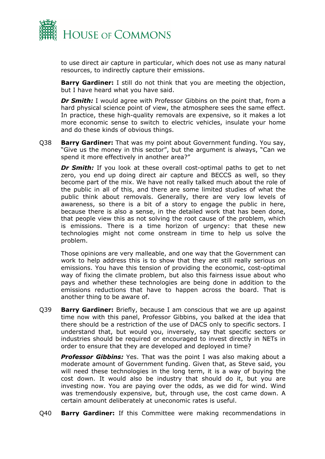

to use direct air capture in particular, which does not use as many natural resources, to indirectly capture their emissions.

**Barry Gardiner:** I still do not think that you are meeting the objection, but I have heard what you have said.

*Dr Smith:* I would agree with Professor Gibbins on the point that, from a hard physical science point of view, the atmosphere sees the same effect. In practice, these high-quality removals are expensive, so it makes a lot more economic sense to switch to electric vehicles, insulate your home and do these kinds of obvious things.

Q38 **Barry Gardiner:** That was my point about Government funding. You say, "Give us the money in this sector", but the argument is always, "Can we spend it more effectively in another area?"

**Dr Smith:** If you look at these overall cost-optimal paths to get to net zero, you end up doing direct air capture and BECCS as well, so they become part of the mix. We have not really talked much about the role of the public in all of this, and there are some limited studies of what the public think about removals. Generally, there are very low levels of awareness, so there is a bit of a story to engage the public in here, because there is also a sense, in the detailed work that has been done, that people view this as not solving the root cause of the problem, which is emissions. There is a time horizon of urgency: that these new technologies might not come onstream in time to help us solve the problem.

Those opinions are very malleable, and one way that the Government can work to help address this is to show that they are still really serious on emissions. You have this tension of providing the economic, cost-optimal way of fixing the climate problem, but also this fairness issue about who pays and whether these technologies are being done in addition to the emissions reductions that have to happen across the board. That is another thing to be aware of.

Q39 **Barry Gardiner:** Briefly, because I am conscious that we are up against time now with this panel, Professor Gibbins, you balked at the idea that there should be a restriction of the use of DACS only to specific sectors. I understand that, but would you, inversely, say that specific sectors or industries should be required or encouraged to invest directly in NETs in order to ensure that they are developed and deployed in time?

**Professor Gibbins:** Yes. That was the point I was also making about a moderate amount of Government funding. Given that, as Steve said, you will need these technologies in the long term, it is a way of buying the cost down. It would also be industry that should do it, but you are investing now. You are paying over the odds, as we did for wind. Wind was tremendously expensive, but, through use, the cost came down. A certain amount deliberately at uneconomic rates is useful.

Q40 **Barry Gardiner:** If this Committee were making recommendations in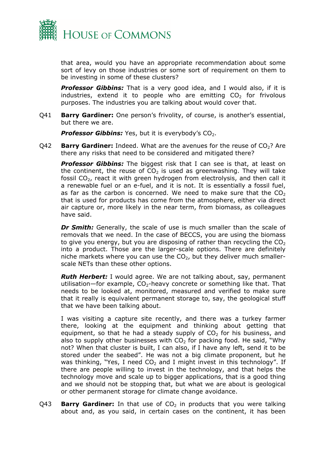

that area, would you have an appropriate recommendation about some sort of levy on those industries or some sort of requirement on them to be investing in some of these clusters?

**Professor Gibbins:** That is a very good idea, and I would also, if it is industries, extend it to people who are emitting  $CO<sub>2</sub>$  for frivolous purposes. The industries you are talking about would cover that.

Q41 **Barry Gardiner:** One person's frivolity, of course, is another's essential, but there we are.

**Professor Gibbins:** Yes, but it is everybody's CO<sub>2</sub>.

Q42 **Barry Gardiner:** Indeed. What are the avenues for the reuse of CO<sub>2</sub>? Are there any risks that need to be considered and mitigated there?

**Professor Gibbins:** The biggest risk that I can see is that, at least on the continent, the reuse of  $CO<sub>2</sub>$  is used as greenwashing. They will take fossil  $CO<sub>2</sub>$ , react it with green hydrogen from electrolysis, and then call it a renewable fuel or an e-fuel, and it is not. It is essentially a fossil fuel, as far as the carbon is concerned. We need to make sure that the  $CO<sub>2</sub>$ that is used for products has come from the atmosphere, either via direct air capture or, more likely in the near term, from biomass, as colleagues have said.

**Dr Smith:** Generally, the scale of use is much smaller than the scale of removals that we need. In the case of BECCS, you are using the biomass to give you energy, but you are disposing of rather than recycling the  $CO<sub>2</sub>$ into a product. Those are the larger-scale options. There are definitely niche markets where you can use the  $CO<sub>2</sub>$ , but they deliver much smallerscale NETs than these other options.

*Ruth Herbert:* I would agree. We are not talking about, say, permanent utilisation—for example,  $CO<sub>2</sub>$ -heavy concrete or something like that. That needs to be looked at, monitored, measured and verified to make sure that it really is equivalent permanent storage to, say, the geological stuff that we have been talking about.

I was visiting a capture site recently, and there was a turkey farmer there, looking at the equipment and thinking about getting that equipment, so that he had a steady supply of  $CO<sub>2</sub>$  for his business, and also to supply other businesses with  $CO<sub>2</sub>$  for packing food. He said, "Why not? When that cluster is built, I can also, if I have any left, send it to be stored under the seabed". He was not a big climate proponent, but he was thinking, "Yes, I need  $CO<sub>2</sub>$  and I might invest in this technology". If there are people willing to invest in the technology, and that helps the technology move and scale up to bigger applications, that is a good thing and we should not be stopping that, but what we are about is geological or other permanent storage for climate change avoidance.

Q43 **Barry Gardiner:** In that use of  $CO<sub>2</sub>$  in products that you were talking about and, as you said, in certain cases on the continent, it has been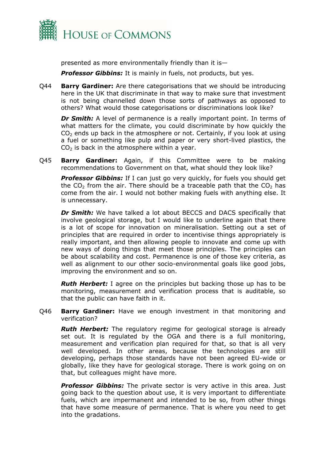

presented as more environmentally friendly than it is—

**Professor Gibbins:** It is mainly in fuels, not products, but yes.

Q44 **Barry Gardiner:** Are there categorisations that we should be introducing here in the UK that discriminate in that way to make sure that investment is not being channelled down those sorts of pathways as opposed to others? What would those categorisations or discriminations look like?

**Dr Smith:** A level of permanence is a really important point. In terms of what matters for the climate, you could discriminate by how quickly the  $CO<sub>2</sub>$  ends up back in the atmosphere or not. Certainly, if you look at using a fuel or something like pulp and paper or very short-lived plastics, the  $CO<sub>2</sub>$  is back in the atmosphere within a year.

Q45 **Barry Gardiner:** Again, if this Committee were to be making recommendations to Government on that, what should they look like?

**Professor Gibbins:** If I can just go very quickly, for fuels you should get the  $CO<sub>2</sub>$  from the air. There should be a traceable path that the  $CO<sub>2</sub>$  has come from the air. I would not bother making fuels with anything else. It is unnecessary.

*Dr Smith:* We have talked a lot about BECCS and DACS specifically that involve geological storage, but I would like to underline again that there is a lot of scope for innovation on mineralisation. Setting out a set of principles that are required in order to incentivise things appropriately is really important, and then allowing people to innovate and come up with new ways of doing things that meet those principles. The principles can be about scalability and cost. Permanence is one of those key criteria, as well as alignment to our other socio-environmental goals like good jobs, improving the environment and so on.

*Ruth Herbert:* I agree on the principles but backing those up has to be monitoring, measurement and verification process that is auditable, so that the public can have faith in it.

Q46 **Barry Gardiner:** Have we enough investment in that monitoring and verification?

*Ruth Herbert:* The regulatory regime for geological storage is already set out. It is regulated by the OGA and there is a full monitoring, measurement and verification plan required for that, so that is all very well developed. In other areas, because the technologies are still developing, perhaps those standards have not been agreed EU-wide or globally, like they have for geological storage. There is work going on on that, but colleagues might have more.

**Professor Gibbins:** The private sector is very active in this area. Just going back to the question about use, it is very important to differentiate fuels, which are impermanent and intended to be so, from other things that have some measure of permanence. That is where you need to get into the gradations.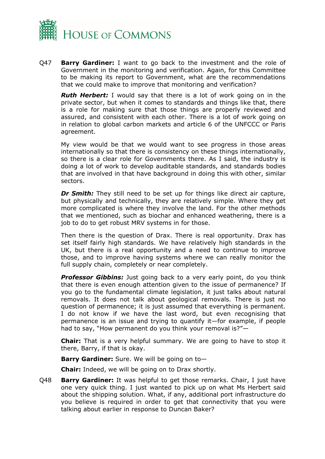

Q47 **Barry Gardiner:** I want to go back to the investment and the role of Government in the monitoring and verification. Again, for this Committee to be making its report to Government, what are the recommendations that we could make to improve that monitoring and verification?

*Ruth Herbert:* I would say that there is a lot of work going on in the private sector, but when it comes to standards and things like that, there is a role for making sure that those things are properly reviewed and assured, and consistent with each other. There is a lot of work going on in relation to global carbon markets and article 6 of the UNFCCC or Paris agreement.

My view would be that we would want to see progress in those areas internationally so that there is consistency on these things internationally, so there is a clear role for Governments there. As I said, the industry is doing a lot of work to develop auditable standards, and standards bodies that are involved in that have background in doing this with other, similar sectors.

*Dr Smith:* They still need to be set up for things like direct air capture, but physically and technically, they are relatively simple. Where they get more complicated is where they involve the land. For the other methods that we mentioned, such as biochar and enhanced weathering, there is a job to do to get robust MRV systems in for those.

Then there is the question of Drax. There is real opportunity. Drax has set itself fairly high standards. We have relatively high standards in the UK, but there is a real opportunity and a need to continue to improve those, and to improve having systems where we can really monitor the full supply chain, completely or near completely.

*Professor Gibbins:* Just going back to a very early point, do you think that there is even enough attention given to the issue of permanence? If you go to the fundamental climate legislation, it just talks about natural removals. It does not talk about geological removals. There is just no question of permanence; it is just assumed that everything is permanent. I do not know if we have the last word, but even recognising that permanence is an issue and trying to quantify it—for example, if people had to say, "How permanent do you think your removal is?"—

**Chair:** That is a very helpful summary. We are going to have to stop it there, Barry, if that is okay.

**Barry Gardiner:** Sure. We will be going on to—

**Chair:** Indeed, we will be going on to Drax shortly.

Q48 **Barry Gardiner:** It was helpful to get those remarks. Chair, I just have one very quick thing. I just wanted to pick up on what Ms Herbert said about the shipping solution. What, if any, additional port infrastructure do you believe is required in order to get that connectivity that you were talking about earlier in response to Duncan Baker?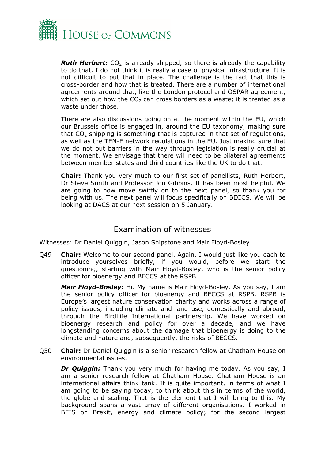

*Ruth Herbert:* CO<sub>2</sub> is already shipped, so there is already the capability to do that. I do not think it is really a case of physical infrastructure. It is not difficult to put that in place. The challenge is the fact that this is cross-border and how that is treated. There are a number of international agreements around that, like the London protocol and OSPAR agreement, which set out how the  $CO<sub>2</sub>$  can cross borders as a waste; it is treated as a waste under those.

There are also discussions going on at the moment within the EU, which our Brussels office is engaged in, around the EU taxonomy, making sure that  $CO<sub>2</sub>$  shipping is something that is captured in that set of regulations, as well as the TEN-E network regulations in the EU. Just making sure that we do not put barriers in the way through legislation is really crucial at the moment. We envisage that there will need to be bilateral agreements between member states and third countries like the UK to do that.

**Chair:** Thank you very much to our first set of panellists, Ruth Herbert, Dr Steve Smith and Professor Jon Gibbins. It has been most helpful. We are going to now move swiftly on to the next panel, so thank you for being with us. The next panel will focus specifically on BECCS. We will be looking at DACS at our next session on 5 January.

## <span id="page-22-0"></span>Examination of witnesses

Witnesses: Dr Daniel Quiggin, Jason Shipstone and Mair Floyd-Bosley.

Q49 **Chair:** Welcome to our second panel. Again, I would just like you each to introduce yourselves briefly, if you would, before we start the questioning, starting with Mair Floyd-Bosley, who is the senior policy officer for bioenergy and BECCS at the RSPB.

*Mair Floyd-Bosley:* Hi. My name is Mair Floyd-Bosley. As you say, I am the senior policy officer for bioenergy and BECCS at RSPB. RSPB is Europe's largest nature conservation charity and works across a range of policy issues, including climate and land use, domestically and abroad, through the BirdLife International partnership. We have worked on bioenergy research and policy for over a decade, and we have longstanding concerns about the damage that bioenergy is doing to the climate and nature and, subsequently, the risks of BECCS.

Q50 **Chair:** Dr Daniel Quiggin is a senior research fellow at Chatham House on environmental issues.

*Dr Quiggin:* Thank you very much for having me today. As you say, I am a senior research fellow at Chatham House. Chatham House is an international affairs think tank. It is quite important, in terms of what I am going to be saying today, to think about this in terms of the world, the globe and scaling. That is the element that I will bring to this. My background spans a vast array of different organisations. I worked in BEIS on Brexit, energy and climate policy; for the second largest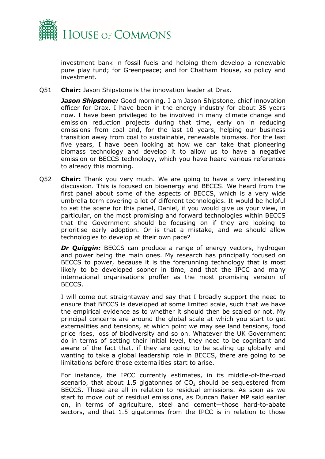

investment bank in fossil fuels and helping them develop a renewable pure play fund; for Greenpeace; and for Chatham House, so policy and investment.

Q51 **Chair:** Jason Shipstone is the innovation leader at Drax.

*Jason Shipstone:* Good morning. I am Jason Shipstone, chief innovation officer for Drax. I have been in the energy industry for about 35 years now. I have been privileged to be involved in many climate change and emission reduction projects during that time, early on in reducing emissions from coal and, for the last 10 years, helping our business transition away from coal to sustainable, renewable biomass. For the last five years, I have been looking at how we can take that pioneering biomass technology and develop it to allow us to have a negative emission or BECCS technology, which you have heard various references to already this morning.

Q52 **Chair:** Thank you very much. We are going to have a very interesting discussion. This is focused on bioenergy and BECCS. We heard from the first panel about some of the aspects of BECCS, which is a very wide umbrella term covering a lot of different technologies. It would be helpful to set the scene for this panel, Daniel, if you would give us your view, in particular, on the most promising and forward technologies within BECCS that the Government should be focusing on if they are looking to prioritise early adoption. Or is that a mistake, and we should allow technologies to develop at their own pace?

**Dr Quiggin:** BECCS can produce a range of energy vectors, hydrogen and power being the main ones. My research has principally focused on BECCS to power, because it is the forerunning technology that is most likely to be developed sooner in time, and that the IPCC and many international organisations proffer as the most promising version of BECCS.

I will come out straightaway and say that I broadly support the need to ensure that BECCS is developed at some limited scale, such that we have the empirical evidence as to whether it should then be scaled or not. My principal concerns are around the global scale at which you start to get externalities and tensions, at which point we may see land tensions, food price rises, loss of biodiversity and so on. Whatever the UK Government do in terms of setting their initial level, they need to be cognisant and aware of the fact that, if they are going to be scaling up globally and wanting to take a global leadership role in BECCS, there are going to be limitations before those externalities start to arise.

For instance, the IPCC currently estimates, in its middle-of-the-road scenario, that about 1.5 gigatonnes of  $CO<sub>2</sub>$  should be sequestered from BECCS. These are all in relation to residual emissions. As soon as we start to move out of residual emissions, as Duncan Baker MP said earlier on, in terms of agriculture, steel and cement—those hard-to-abate sectors, and that 1.5 gigatonnes from the IPCC is in relation to those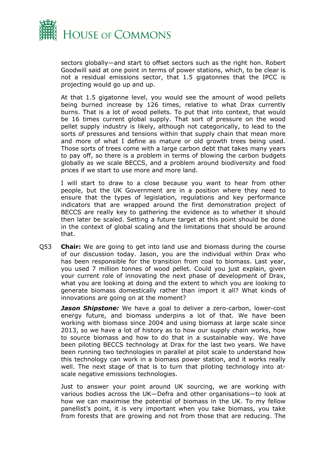

sectors globally—and start to offset sectors such as the right hon. Robert Goodwill said at one point in terms of power stations, which, to be clear is not a residual emissions sector, that 1.5 gigatonnes that the IPCC is projecting would go up and up.

At that 1.5 gigatonne level, you would see the amount of wood pellets being burned increase by 126 times, relative to what Drax currently burns. That is a lot of wood pellets. To put that into context, that would be 16 times current global supply. That sort of pressure on the wood pellet supply industry is likely, although not categorically, to lead to the sorts of pressures and tensions within that supply chain that mean more and more of what I define as mature or old growth trees being used. Those sorts of trees come with a large carbon debt that takes many years to pay off, so there is a problem in terms of blowing the carbon budgets globally as we scale BECCS, and a problem around biodiversity and food prices if we start to use more and more land.

I will start to draw to a close because you want to hear from other people, but the UK Government are in a position where they need to ensure that the types of legislation, regulations and key performance indicators that are wrapped around the first demonstration project of BECCS are really key to gathering the evidence as to whether it should then later be scaled. Setting a future target at this point should be done in the context of global scaling and the limitations that should be around that.

Q53 **Chair:** We are going to get into land use and biomass during the course of our discussion today. Jason, you are the individual within Drax who has been responsible for the transition from coal to biomass. Last year, you used 7 million tonnes of wood pellet. Could you just explain, given your current role of innovating the next phase of development of Drax, what you are looking at doing and the extent to which you are looking to generate biomass domestically rather than import it all? What kinds of innovations are going on at the moment?

*Jason Shipstone:* We have a goal to deliver a zero-carbon, lower-cost energy future, and biomass underpins a lot of that. We have been working with biomass since 2004 and using biomass at large scale since 2013, so we have a lot of history as to how our supply chain works, how to source biomass and how to do that in a sustainable way. We have been piloting BECCS technology at Drax for the last two years. We have been running two technologies in parallel at pilot scale to understand how this technology can work in a biomass power station, and it works really well. The next stage of that is to turn that piloting technology into atscale negative emissions technologies.

Just to answer your point around UK sourcing, we are working with various bodies across the UK—Defra and other organisations—to look at how we can maximise the potential of biomass in the UK. To my fellow panellist's point, it is very important when you take biomass, you take from forests that are growing and not from those that are reducing. The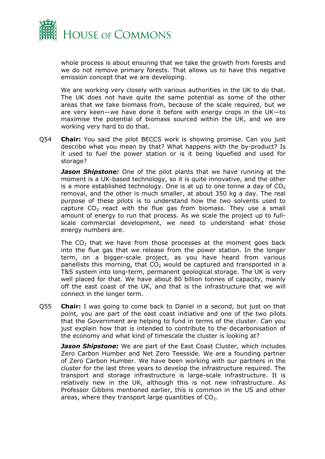

whole process is about ensuring that we take the growth from forests and we do not remove primary forests. That allows us to have this negative emission concept that we are developing.

We are working very closely with various authorities in the UK to do that. The UK does not have quite the same potential as some of the other areas that we take biomass from, because of the scale required, but we are very keen—we have done it before with energy crops in the UK—to maximise the potential of biomass sourced within the UK, and we are working very hard to do that.

Q54 **Chair:** You said the pilot BECCS work is showing promise. Can you just describe what you mean by that? What happens with the by-product? Is it used to fuel the power station or is it being liquefied and used for storage?

*Jason Shipstone:* One of the pilot plants that we have running at the moment is a UK-based technology, so it is quite innovative, and the other is a more established technology. One is at up to one tonne a day of  $CO<sub>2</sub>$ removal, and the other is much smaller, at about 350 kg a day. The real purpose of these pilots is to understand how the two solvents used to capture  $CO<sub>2</sub>$  react with the flue gas from biomass. They use a small amount of energy to run that process. As we scale the project up to fullscale commercial development, we need to understand what those energy numbers are.

The  $CO<sub>2</sub>$  that we have from those processes at the moment goes back into the flue gas that we release from the power station. In the longer term, on a bigger-scale project, as you have heard from various panellists this morning, that  $CO<sub>2</sub>$  would be captured and transported in a T&S system into long-term, permanent geological storage. The UK is very well placed for that. We have about 80 billion tonnes of capacity, mainly off the east coast of the UK, and that is the infrastructure that we will connect in the longer term.

Q55 **Chair:** I was going to come back to Daniel in a second, but just on that point, you are part of the east coast initiative and one of the two pilots that the Government are helping to fund in terms of the cluster. Can you just explain how that is intended to contribute to the decarbonisation of the economy and what kind of timescale the cluster is looking at?

**Jason Shipstone:** We are part of the East Coast Cluster, which includes Zero Carbon Humber and Net Zero Teesside. We are a founding partner of Zero Carbon Humber. We have been working with our partners in the cluster for the last three years to develop the infrastructure required. The transport and storage infrastructure is large-scale infrastructure. It is relatively new in the UK, although this is not new infrastructure. As Professor Gibbins mentioned earlier, this is common in the US and other areas, where they transport large quantities of  $CO<sub>2</sub>$ .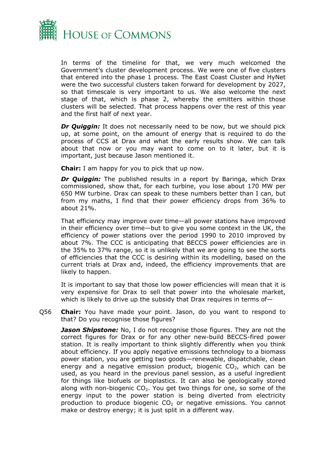

In terms of the timeline for that, we very much welcomed the Government's cluster development process. We were one of five clusters that entered into the phase 1 process. The East Coast Cluster and HyNet were the two successful clusters taken forward for development by 2027, so that timescale is very important to us. We also welcome the next stage of that, which is phase 2, whereby the emitters within those clusters will be selected. That process happens over the rest of this year and the first half of next year.

*Dr Quiggin:* It does not necessarily need to be now, but we should pick up, at some point, on the amount of energy that is required to do the process of CCS at Drax and what the early results show. We can talk about that now or you may want to come on to it later, but it is important, just because Jason mentioned it.

**Chair:** I am happy for you to pick that up now.

*Dr Quiggin:* The published results in a report by Baringa, which Drax commissioned, show that, for each turbine, you lose about 170 MW per 650 MW turbine. Drax can speak to these numbers better than I can, but from my maths, I find that their power efficiency drops from 36% to about 21%.

That efficiency may improve over time—all power stations have improved in their efficiency over time—but to give you some context in the UK, the efficiency of power stations over the period 1990 to 2010 improved by about 7%. The CCC is anticipating that BECCS power efficiencies are in the 35% to 37% range, so it is unlikely that we are going to see the sorts of efficiencies that the CCC is desiring within its modelling, based on the current trials at Drax and, indeed, the efficiency improvements that are likely to happen.

It is important to say that those low power efficiencies will mean that it is very expensive for Drax to sell that power into the wholesale market, which is likely to drive up the subsidy that Drax requires in terms of—

Q56 **Chair:** You have made your point. Jason, do you want to respond to that? Do you recognise those figures?

*Jason Shipstone:* No, I do not recognise those figures. They are not the correct figures for Drax or for any other new-build BECCS-fired power station. It is really important to think slightly differently when you think about efficiency. If you apply negative emissions technology to a biomass power station, you are getting two goods—renewable, dispatchable, clean energy and a negative emission product, biogenic  $CO<sub>2</sub>$ , which can be used, as you heard in the previous panel session, as a useful ingredient for things like biofuels or bioplastics. It can also be geologically stored along with non-biogenic  $CO<sub>2</sub>$ . You get two things for one, so some of the energy input to the power station is being diverted from electricity production to produce biogenic  $CO<sub>2</sub>$  or negative emissions. You cannot make or destroy energy; it is just split in a different way.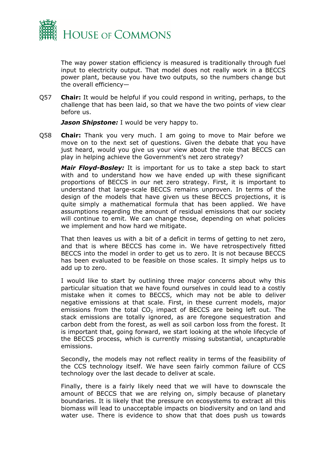

The way power station efficiency is measured is traditionally through fuel input to electricity output. That model does not really work in a BECCS power plant, because you have two outputs, so the numbers change but the overall efficiency—

Q57 **Chair:** It would be helpful if you could respond in writing, perhaps, to the challenge that has been laid, so that we have the two points of view clear before us.

*Jason Shipstone:* I would be very happy to.

Q58 **Chair:** Thank you very much. I am going to move to Mair before we move on to the next set of questions. Given the debate that you have just heard, would you give us your view about the role that BECCS can play in helping achieve the Government's net zero strategy?

*Mair Floyd-Bosley:* It is important for us to take a step back to start with and to understand how we have ended up with these significant proportions of BECCS in our net zero strategy. First, it is important to understand that large-scale BECCS remains unproven. In terms of the design of the models that have given us these BECCS projections, it is quite simply a mathematical formula that has been applied. We have assumptions regarding the amount of residual emissions that our society will continue to emit. We can change those, depending on what policies we implement and how hard we mitigate.

That then leaves us with a bit of a deficit in terms of getting to net zero, and that is where BECCS has come in. We have retrospectively fitted BECCS into the model in order to get us to zero. It is not because BECCS has been evaluated to be feasible on those scales. It simply helps us to add up to zero.

I would like to start by outlining three major concerns about why this particular situation that we have found ourselves in could lead to a costly mistake when it comes to BECCS, which may not be able to deliver negative emissions at that scale. First, in these current models, major emissions from the total  $CO<sub>2</sub>$  impact of BECCS are being left out. The stack emissions are totally ignored, as are foregone sequestration and carbon debt from the forest, as well as soil carbon loss from the forest. It is important that, going forward, we start looking at the whole lifecycle of the BECCS process, which is currently missing substantial, uncapturable emissions.

Secondly, the models may not reflect reality in terms of the feasibility of the CCS technology itself. We have seen fairly common failure of CCS technology over the last decade to deliver at scale.

Finally, there is a fairly likely need that we will have to downscale the amount of BECCS that we are relying on, simply because of planetary boundaries. It is likely that the pressure on ecosystems to extract all this biomass will lead to unacceptable impacts on biodiversity and on land and water use. There is evidence to show that that does push us towards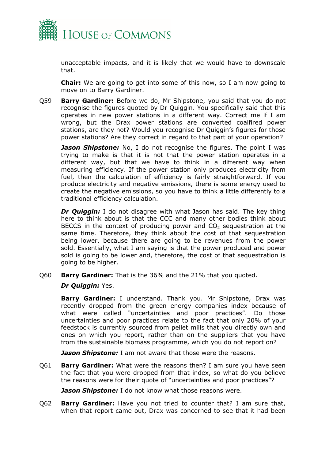

unacceptable impacts, and it is likely that we would have to downscale that.

**Chair:** We are going to get into some of this now, so I am now going to move on to Barry Gardiner.

Q59 **Barry Gardiner:** Before we do, Mr Shipstone, you said that you do not recognise the figures quoted by Dr Quiggin. You specifically said that this operates in new power stations in a different way. Correct me if I am wrong, but the Drax power stations are converted coalfired power stations, are they not? Would you recognise Dr Quiggin's figures for those power stations? Are they correct in regard to that part of your operation?

*Jason Shipstone:* No, I do not recognise the figures. The point I was trying to make is that it is not that the power station operates in a different way, but that we have to think in a different way when measuring efficiency. If the power station only produces electricity from fuel, then the calculation of efficiency is fairly straightforward. If you produce electricity and negative emissions, there is some energy used to create the negative emissions, so you have to think a little differently to a traditional efficiency calculation.

*Dr Quiggin:* I do not disagree with what Jason has said. The key thing here to think about is that the CCC and many other bodies think about BECCS in the context of producing power and  $CO<sub>2</sub>$  sequestration at the same time. Therefore, they think about the cost of that sequestration being lower, because there are going to be revenues from the power sold. Essentially, what I am saying is that the power produced and power sold is going to be lower and, therefore, the cost of that sequestration is going to be higher.

Q60 **Barry Gardiner:** That is the 36% and the 21% that you quoted.

#### *Dr Quiggin:* Yes.

**Barry Gardiner:** I understand. Thank you. Mr Shipstone, Drax was recently dropped from the green energy companies index because of what were called "uncertainties and poor practices". Do those uncertainties and poor practices relate to the fact that only 20% of your feedstock is currently sourced from pellet mills that you directly own and ones on which you report, rather than on the suppliers that you have from the sustainable biomass programme, which you do not report on?

*Jason Shipstone:* I am not aware that those were the reasons.

Q61 **Barry Gardiner:** What were the reasons then? I am sure you have seen the fact that you were dropped from that index, so what do you believe the reasons were for their quote of "uncertainties and poor practices"?

*Jason Shipstone:* I do not know what those reasons were.

Q62 **Barry Gardiner:** Have you not tried to counter that? I am sure that, when that report came out, Drax was concerned to see that it had been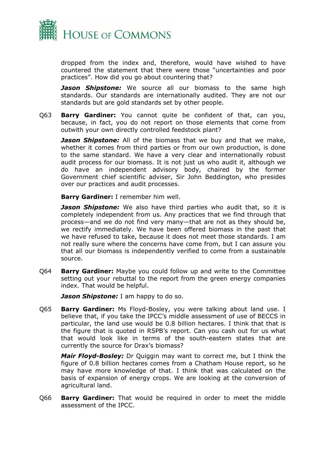

dropped from the index and, therefore, would have wished to have countered the statement that there were those "uncertainties and poor practices". How did you go about countering that?

*Jason Shipstone:* We source all our biomass to the same high standards. Our standards are internationally audited. They are not our standards but are gold standards set by other people.

Q63 **Barry Gardiner:** You cannot quite be confident of that, can you, because, in fact, you do not report on those elements that come from outwith your own directly controlled feedstock plant?

*Jason Shipstone:* All of the biomass that we buy and that we make, whether it comes from third parties or from our own production, is done to the same standard. We have a very clear and internationally robust audit process for our biomass. It is not just us who audit it, although we do have an independent advisory body, chaired by the former Government chief scientific adviser, Sir John Beddington, who presides over our practices and audit processes.

**Barry Gardiner:** I remember him well.

*Jason Shipstone:* We also have third parties who audit that, so it is completely independent from us. Any practices that we find through that process—and we do not find very many—that are not as they should be, we rectify immediately. We have been offered biomass in the past that we have refused to take, because it does not meet those standards. I am not really sure where the concerns have come from, but I can assure you that all our biomass is independently verified to come from a sustainable source.

Q64 **Barry Gardiner:** Maybe you could follow up and write to the Committee setting out your rebuttal to the report from the green energy companies index. That would be helpful.

*Jason Shipstone:* I am happy to do so.

Q65 **Barry Gardiner:** Ms Floyd-Bosley, you were talking about land use. I believe that, if you take the IPCC's middle assessment of use of BECCS in particular, the land use would be 0.8 billion hectares. I think that that is the figure that is quoted in RSPB's report. Can you cash out for us what that would look like in terms of the south-eastern states that are currently the source for Drax's biomass?

*Mair Floyd-Bosley:* Dr Quiggin may want to correct me, but I think the figure of 0.8 billion hectares comes from a Chatham House report, so he may have more knowledge of that. I think that was calculated on the basis of expansion of energy crops. We are looking at the conversion of agricultural land.

Q66 **Barry Gardiner:** That would be required in order to meet the middle assessment of the IPCC.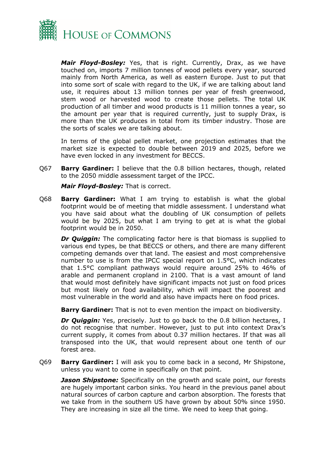

*Mair Floyd-Bosley:* Yes, that is right. Currently, Drax, as we have touched on, imports 7 million tonnes of wood pellets every year, sourced mainly from North America, as well as eastern Europe. Just to put that into some sort of scale with regard to the UK, if we are talking about land use, it requires about 13 million tonnes per year of fresh greenwood, stem wood or harvested wood to create those pellets. The total UK production of all timber and wood products is 11 million tonnes a year, so the amount per year that is required currently, just to supply Drax, is more than the UK produces in total from its timber industry. Those are the sorts of scales we are talking about.

In terms of the global pellet market, one projection estimates that the market size is expected to double between 2019 and 2025, before we have even locked in any investment for BECCS.

Q67 **Barry Gardiner:** I believe that the 0.8 billion hectares, though, related to the 2050 middle assessment target of the IPCC.

*Mair Floyd-Bosley:* That is correct.

Q68 **Barry Gardiner:** What I am trying to establish is what the global footprint would be of meeting that middle assessment. I understand what you have said about what the doubling of UK consumption of pellets would be by 2025, but what I am trying to get at is what the global footprint would be in 2050.

*Dr Quiggin:* The complicating factor here is that biomass is supplied to various end types, be that BECCS or others, and there are many different competing demands over that land. The easiest and most comprehensive number to use is from the IPCC special report on 1.5°C, which indicates that 1.5°C compliant pathways would require around 25% to 46% of arable and permanent cropland in 2100. That is a vast amount of land that would most definitely have significant impacts not just on food prices but most likely on food availability, which will impact the poorest and most vulnerable in the world and also have impacts here on food prices.

**Barry Gardiner:** That is not to even mention the impact on biodiversity.

*Dr Quiggin:* Yes, precisely. Just to go back to the 0.8 billion hectares, I do not recognise that number. However, just to put into context Drax's current supply, it comes from about 0.37 million hectares. If that was all transposed into the UK, that would represent about one tenth of our forest area.

Q69 **Barry Gardiner:** I will ask you to come back in a second, Mr Shipstone, unless you want to come in specifically on that point.

*Jason Shipstone: Specifically on the growth and scale point, our forests* are hugely important carbon sinks. You heard in the previous panel about natural sources of carbon capture and carbon absorption. The forests that we take from in the southern US have grown by about 50% since 1950. They are increasing in size all the time. We need to keep that going.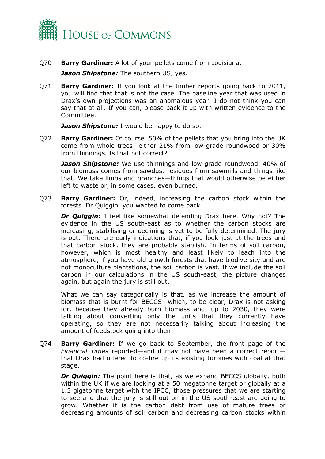

Q70 **Barry Gardiner:** A lot of your pellets come from Louisiana.

*Jason Shipstone:* The southern US, yes.

Q71 **Barry Gardiner:** If you look at the timber reports going back to 2011, you will find that that is not the case. The baseline year that was used in Drax's own projections was an anomalous year. I do not think you can say that at all. If you can, please back it up with written evidence to the Committee.

*Jason Shipstone:* I would be happy to do so.

Q72 **Barry Gardiner:** Of course, 50% of the pellets that you bring into the UK come from whole trees—either 21% from low-grade roundwood or 30% from thinnings. Is that not correct?

*Jason Shipstone:* We use thinnings and low-grade roundwood. 40% of our biomass comes from sawdust residues from sawmills and things like that. We take limbs and branches—things that would otherwise be either left to waste or, in some cases, even burned.

Q73 **Barry Gardiner:** Or, indeed, increasing the carbon stock within the forests. Dr Quiggin, you wanted to come back.

*Dr Quiggin:* I feel like somewhat defending Drax here. Why not? The evidence in the US south-east as to whether the carbon stocks are increasing, stabilising or declining is yet to be fully determined. The jury is out. There are early indications that, if you look just at the trees and that carbon stock, they are probably stablish. In terms of soil carbon, however, which is most healthy and least likely to leach into the atmosphere, if you have old growth forests that have biodiversity and are not monoculture plantations, the soil carbon is vast. If we include the soil carbon in our calculations in the US south-east, the picture changes again, but again the jury is still out.

What we can say categorically is that, as we increase the amount of biomass that is burnt for BECCS—which, to be clear, Drax is not asking for, because they already burn biomass and, up to 2030, they were talking about converting only the units that they currently have operating, so they are not necessarily talking about increasing the amount of feedstock going into them—

Q74 **Barry Gardiner:** If we go back to September, the front page of the *Financial Times* reported—and it may not have been a correct report that Drax had offered to co-fire up its existing turbines with coal at that stage.

*Dr Quiggin:* The point here is that, as we expand BECCS globally, both within the UK if we are looking at a 50 megatonne target or globally at a 1.5 gigatonne target with the IPCC, those pressures that we are starting to see and that the jury is still out on in the US south-east are going to grow. Whether it is the carbon debt from use of mature trees or decreasing amounts of soil carbon and decreasing carbon stocks within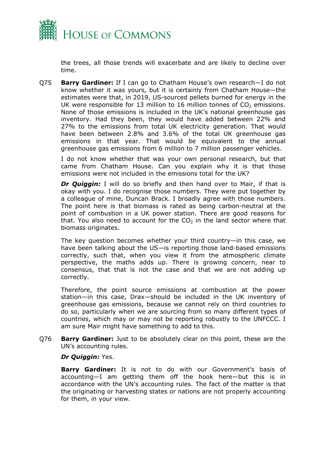

the trees, all those trends will exacerbate and are likely to decline over time.

Q75 **Barry Gardiner:** If I can go to Chatham House's own research—I do not know whether it was yours, but it is certainly from Chatham House—the estimates were that, in 2019, US-sourced pellets burned for energy in the UK were responsible for 13 million to 16 million tonnes of  $CO<sub>2</sub>$  emissions. None of those emissions is included in the UK's national greenhouse gas inventory. Had they been, they would have added between 22% and 27% to the emissions from total UK electricity generation. That would have been between 2.8% and 3.6% of the total UK greenhouse gas emissions in that year. That would be equivalent to the annual greenhouse gas emissions from 6 million to 7 million passenger vehicles.

I do not know whether that was your own personal research, but that came from Chatham House. Can you explain why it is that those emissions were not included in the emissions total for the UK?

**Dr Quiggin:** I will do so briefly and then hand over to Mair, if that is okay with you. I do recognise those numbers. They were put together by a colleague of mine, Duncan Brack. I broadly agree with those numbers. The point here is that biomass is rated as being carbon-neutral at the point of combustion in a UK power station. There are good reasons for that. You also need to account for the  $CO<sub>2</sub>$  in the land sector where that biomass originates.

The key question becomes whether your third country—in this case, we have been talking about the US—is reporting those land-based emissions correctly, such that, when you view it from the atmospheric climate perspective, the maths adds up. There is growing concern, near to consensus, that that is not the case and that we are not adding up correctly.

Therefore, the point source emissions at combustion at the power station—in this case, Drax—should be included in the UK inventory of greenhouse gas emissions, because we cannot rely on third countries to do so, particularly when we are sourcing from so many different types of countries, which may or may not be reporting robustly to the UNFCCC. I am sure Mair might have something to add to this.

Q76 **Barry Gardiner:** Just to be absolutely clear on this point, these are the UN's accounting rules.

#### *Dr Quiggin:* Yes.

**Barry Gardiner:** It is not to do with our Government's basis of accounting—I am getting them off the hook here—but this is in accordance with the UN's accounting rules. The fact of the matter is that the originating or harvesting states or nations are not properly accounting for them, in your view.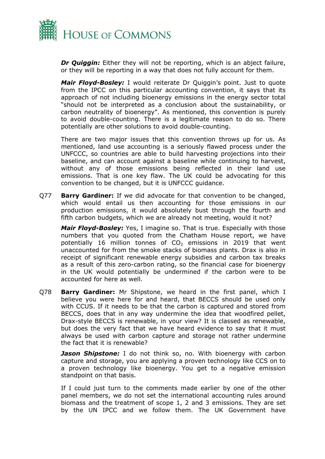

*Dr Quiggin:* Either they will not be reporting, which is an abject failure, or they will be reporting in a way that does not fully account for them.

*Mair Floyd-Bosley:* I would reiterate Dr Quiggin's point. Just to quote from the IPCC on this particular accounting convention, it says that its approach of not including bioenergy emissions in the energy sector total "should not be interpreted as a conclusion about the sustainability, or carbon neutrality of bioenergy". As mentioned, this convention is purely to avoid double-counting. There is a legitimate reason to do so. There potentially are other solutions to avoid double-counting.

There are two major issues that this convention throws up for us. As mentioned, land use accounting is a seriously flawed process under the UNFCCC, so countries are able to build harvesting projections into their baseline, and can account against a baseline while continuing to harvest, without any of those emissions being reflected in their land use emissions. That is one key flaw. The UK could be advocating for this convention to be changed, but it is UNFCCC guidance.

Q77 **Barry Gardiner:** If we did advocate for that convention to be changed, which would entail us then accounting for those emissions in our production emissions, it would absolutely bust through the fourth and fifth carbon budgets, which we are already not meeting, would it not?

*Mair Floyd-Bosley:* Yes, I imagine so. That is true. Especially with those numbers that you quoted from the Chatham House report, we have potentially 16 million tonnes of  $CO<sub>2</sub>$  emissions in 2019 that went unaccounted for from the smoke stacks of biomass plants. Drax is also in receipt of significant renewable energy subsidies and carbon tax breaks as a result of this zero-carbon rating, so the financial case for bioenergy in the UK would potentially be undermined if the carbon were to be accounted for here as well.

Q78 **Barry Gardiner:** Mr Shipstone, we heard in the first panel, which I believe you were here for and heard, that BECCS should be used only with CCUS. If it needs to be that the carbon is captured and stored from BECCS, does that in any way undermine the idea that woodfired pellet, Drax-style BECCS is renewable, in your view? It is classed as renewable, but does the very fact that we have heard evidence to say that it must always be used with carbon capture and storage not rather undermine the fact that it is renewable?

**Jason Shipstone:** I do not think so, no. With bioenergy with carbon capture and storage, you are applying a proven technology like CCS on to a proven technology like bioenergy. You get to a negative emission standpoint on that basis.

If I could just turn to the comments made earlier by one of the other panel members, we do not set the international accounting rules around biomass and the treatment of scope 1, 2 and 3 emissions. They are set by the UN IPCC and we follow them. The UK Government have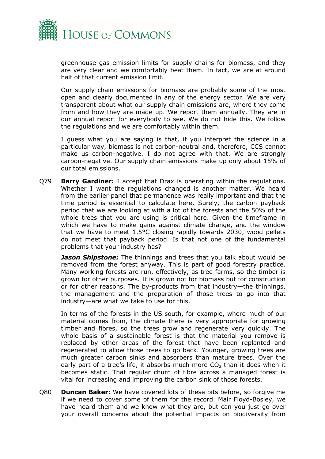

greenhouse gas emission limits for supply chains for biomass, and they are very clear and we comfortably beat them. In fact, we are at around half of that current emission limit.

Our supply chain emissions for biomass are probably some of the most open and clearly documented in any of the energy sector. We are very transparent about what our supply chain emissions are, where they come from and how they are made up. We report them annually. They are in our annual report for everybody to see. We do not hide this. We follow the regulations and we are comfortably within them.

I guess what you are saying is that, if you interpret the science in a particular way, biomass is not carbon-neutral and, therefore, CCS cannot make us carbon-negative. I do not agree with that. We are strongly carbon-negative. Our supply chain emissions make up only about 15% of our total emissions.

Q79 **Barry Gardiner:** I accept that Drax is operating within the regulations. Whether I want the regulations changed is another matter. We heard from the earlier panel that permanence was really important and that the time period is essential to calculate here. Surely, the carbon payback period that we are looking at with a lot of the forests and the 50% of the whole trees that you are using is critical here. Given the timeframe in which we have to make gains against climate change, and the window that we have to meet 1.5°C closing rapidly towards 2030, wood pellets do not meet that payback period. Is that not one of the fundamental problems that your industry has?

*Jason Shipstone:* The thinnings and trees that you talk about would be removed from the forest anyway. This is part of good forestry practice. Many working forests are run, effectively, as tree farms, so the timber is grown for other purposes. It is grown not for biomass but for construction or for other reasons. The by-products from that industry—the thinnings, the management and the preparation of those trees to go into that industry—are what we take to use for this.

In terms of the forests in the US south, for example, where much of our material comes from, the climate there is very appropriate for growing timber and fibres, so the trees grow and regenerate very quickly. The whole basis of a sustainable forest is that the material you remove is replaced by other areas of the forest that have been replanted and regenerated to allow those trees to go back. Younger, growing trees are much greater carbon sinks and absorbers than mature trees. Over the early part of a tree's life, it absorbs much more  $CO<sub>2</sub>$  than it does when it becomes static. That regular churn of fibre across a managed forest is vital for increasing and improving the carbon sink of those forests.

Q80 **Duncan Baker:** We have covered lots of these bits before, so forgive me if we need to cover some of them for the record. Mair Floyd-Bosley, we have heard them and we know what they are, but can you just go over your overall concerns about the potential impacts on biodiversity from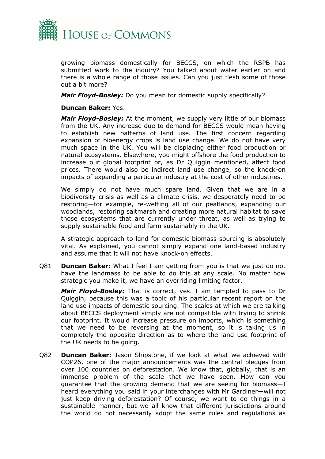

growing biomass domestically for BECCS, on which the RSPB has submitted work to the inquiry? You talked about water earlier on and there is a whole range of those issues. Can you just flesh some of those out a bit more?

*Mair Floyd-Bosley:* Do you mean for domestic supply specifically?

#### **Duncan Baker:** Yes.

*Mair Floyd-Bosley:* At the moment, we supply very little of our biomass from the UK. Any increase due to demand for BECCS would mean having to establish new patterns of land use. The first concern regarding expansion of bioenergy crops is land use change. We do not have very much space in the UK. You will be displacing either food production or natural ecosystems. Elsewhere, you might offshore the food production to increase our global footprint or, as Dr Quiggin mentioned, affect food prices. There would also be indirect land use change, so the knock-on impacts of expanding a particular industry at the cost of other industries.

We simply do not have much spare land. Given that we are in a biodiversity crisis as well as a climate crisis, we desperately need to be restoring—for example, re-wetting all of our peatlands, expanding our woodlands, restoring saltmarsh and creating more natural habitat to save those ecosystems that are currently under threat, as well as trying to supply sustainable food and farm sustainably in the UK.

A strategic approach to land for domestic biomass sourcing is absolutely vital. As explained, you cannot simply expand one land-based industry and assume that it will not have knock-on effects.

Q81 **Duncan Baker:** What I feel I am getting from you is that we just do not have the landmass to be able to do this at any scale. No matter how strategic you make it, we have an overriding limiting factor.

*Mair Floyd-Bosley:* That is correct, yes. I am tempted to pass to Dr Quiggin, because this was a topic of his particular recent report on the land use impacts of domestic sourcing. The scales at which we are talking about BECCS deployment simply are not compatible with trying to shrink our footprint. It would increase pressure on imports, which is something that we need to be reversing at the moment, so it is taking us in completely the opposite direction as to where the land use footprint of the UK needs to be going.

Q82 **Duncan Baker:** Jason Shipstone, if we look at what we achieved with COP26, one of the major announcements was the central pledges from over 100 countries on deforestation. We know that, globally, that is an immense problem of the scale that we have seen. How can you guarantee that the growing demand that we are seeing for biomass—I heard everything you said in your interchanges with Mr Gardiner—will not just keep driving deforestation? Of course, we want to do things in a sustainable manner, but we all know that different jurisdictions around the world do not necessarily adopt the same rules and regulations as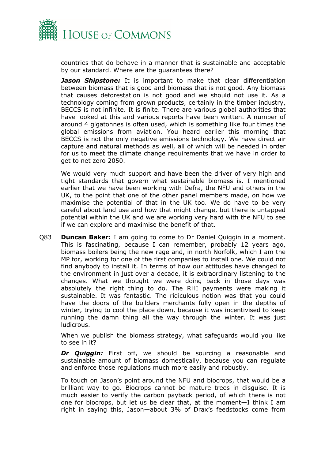

countries that do behave in a manner that is sustainable and acceptable by our standard. Where are the guarantees there?

**Jason Shipstone:** It is important to make that clear differentiation between biomass that is good and biomass that is not good. Any biomass that causes deforestation is not good and we should not use it. As a technology coming from grown products, certainly in the timber industry, BECCS is not infinite. It is finite. There are various global authorities that have looked at this and various reports have been written. A number of around 4 gigatonnes is often used, which is something like four times the global emissions from aviation. You heard earlier this morning that BECCS is not the only negative emissions technology. We have direct air capture and natural methods as well, all of which will be needed in order for us to meet the climate change requirements that we have in order to get to net zero 2050.

We would very much support and have been the driver of very high and tight standards that govern what sustainable biomass is. I mentioned earlier that we have been working with Defra, the NFU and others in the UK, to the point that one of the other panel members made, on how we maximise the potential of that in the UK too. We do have to be very careful about land use and how that might change, but there is untapped potential within the UK and we are working very hard with the NFU to see if we can explore and maximise the benefit of that.

Q83 **Duncan Baker:** I am going to come to Dr Daniel Quiggin in a moment. This is fascinating, because I can remember, probably 12 years ago, biomass boilers being the new rage and, in north Norfolk, which I am the MP for, working for one of the first companies to install one. We could not find anybody to install it. In terms of how our attitudes have changed to the environment in just over a decade, it is extraordinary listening to the changes. What we thought we were doing back in those days was absolutely the right thing to do. The RHI payments were making it sustainable. It was fantastic. The ridiculous notion was that you could have the doors of the builders merchants fully open in the depths of winter, trying to cool the place down, because it was incentivised to keep running the damn thing all the way through the winter. It was just ludicrous.

When we publish the biomass strategy, what safeguards would you like to see in it?

*Dr Quiggin:* First off, we should be sourcing a reasonable and sustainable amount of biomass domestically, because you can regulate and enforce those regulations much more easily and robustly.

To touch on Jason's point around the NFU and biocrops, that would be a brilliant way to go. Biocrops cannot be mature trees in disguise. It is much easier to verify the carbon payback period, of which there is not one for biocrops, but let us be clear that, at the moment—I think I am right in saying this, Jason—about 3% of Drax's feedstocks come from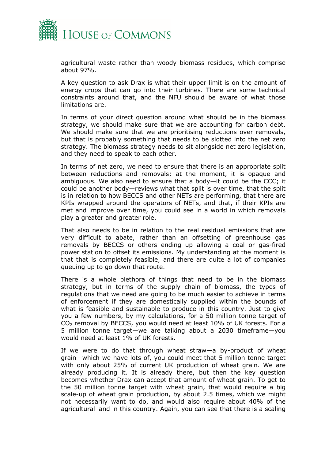

agricultural waste rather than woody biomass residues, which comprise about 97%.

A key question to ask Drax is what their upper limit is on the amount of energy crops that can go into their turbines. There are some technical constraints around that, and the NFU should be aware of what those limitations are.

In terms of your direct question around what should be in the biomass strategy, we should make sure that we are accounting for carbon debt. We should make sure that we are prioritising reductions over removals, but that is probably something that needs to be slotted into the net zero strategy. The biomass strategy needs to sit alongside net zero legislation, and they need to speak to each other.

In terms of net zero, we need to ensure that there is an appropriate split between reductions and removals; at the moment, it is opaque and ambiguous. We also need to ensure that a body—it could be the CCC; it could be another body—reviews what that split is over time, that the split is in relation to how BECCS and other NETs are performing, that there are KPIs wrapped around the operators of NETs, and that, if their KPIs are met and improve over time, you could see in a world in which removals play a greater and greater role.

That also needs to be in relation to the real residual emissions that are very difficult to abate, rather than an offsetting of greenhouse gas removals by BECCS or others ending up allowing a coal or gas-fired power station to offset its emissions. My understanding at the moment is that that is completely feasible, and there are quite a lot of companies queuing up to go down that route.

There is a whole plethora of things that need to be in the biomass strategy, but in terms of the supply chain of biomass, the types of regulations that we need are going to be much easier to achieve in terms of enforcement if they are domestically supplied within the bounds of what is feasible and sustainable to produce in this country. Just to give you a few numbers, by my calculations, for a 50 million tonne target of  $CO<sub>2</sub>$  removal by BECCS, you would need at least 10% of UK forests. For a 5 million tonne target—we are talking about a 2030 timeframe—you would need at least 1% of UK forests.

If we were to do that through wheat straw—a by-product of wheat grain—which we have lots of, you could meet that 5 million tonne target with only about 25% of current UK production of wheat grain. We are already producing it. It is already there, but then the key question becomes whether Drax can accept that amount of wheat grain. To get to the 50 million tonne target with wheat grain, that would require a big scale-up of wheat grain production, by about 2.5 times, which we might not necessarily want to do, and would also require about 40% of the agricultural land in this country. Again, you can see that there is a scaling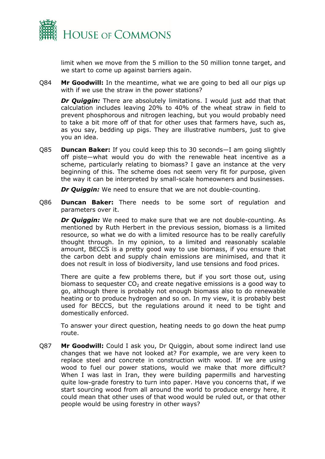

limit when we move from the 5 million to the 50 million tonne target, and we start to come up against barriers again.

Q84 **Mr Goodwill:** In the meantime, what we are going to bed all our pigs up with if we use the straw in the power stations?

*Dr Quiggin:* There are absolutely limitations. I would just add that that calculation includes leaving 20% to 40% of the wheat straw in field to prevent phosphorous and nitrogen leaching, but you would probably need to take a bit more off of that for other uses that farmers have, such as, as you say, bedding up pigs. They are illustrative numbers, just to give you an idea.

Q85 **Duncan Baker:** If you could keep this to 30 seconds—I am going slightly off piste—what would you do with the renewable heat incentive as a scheme, particularly relating to biomass? I gave an instance at the very beginning of this. The scheme does not seem very fit for purpose, given the way it can be interpreted by small-scale homeowners and businesses.

*Dr Quiggin:* We need to ensure that we are not double-counting.

Q86 **Duncan Baker:** There needs to be some sort of regulation and parameters over it.

*Dr Quiggin:* We need to make sure that we are not double-counting. As mentioned by Ruth Herbert in the previous session, biomass is a limited resource, so what we do with a limited resource has to be really carefully thought through. In my opinion, to a limited and reasonably scalable amount, BECCS is a pretty good way to use biomass, if you ensure that the carbon debt and supply chain emissions are minimised, and that it does not result in loss of biodiversity, land use tensions and food prices.

There are quite a few problems there, but if you sort those out, using biomass to sequester  $CO<sub>2</sub>$  and create negative emissions is a good way to go, although there is probably not enough biomass also to do renewable heating or to produce hydrogen and so on. In my view, it is probably best used for BECCS, but the regulations around it need to be tight and domestically enforced.

To answer your direct question, heating needs to go down the heat pump route.

Q87 **Mr Goodwill:** Could I ask you, Dr Quiggin, about some indirect land use changes that we have not looked at? For example, we are very keen to replace steel and concrete in construction with wood. If we are using wood to fuel our power stations, would we make that more difficult? When I was last in Iran, they were building papermills and harvesting quite low-grade forestry to turn into paper. Have you concerns that, if we start sourcing wood from all around the world to produce energy here, it could mean that other uses of that wood would be ruled out, or that other people would be using forestry in other ways?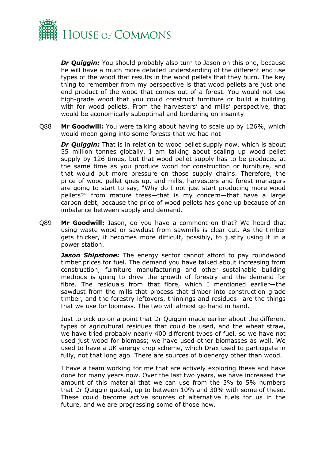

*Dr Quiggin:* You should probably also turn to Jason on this one, because he will have a much more detailed understanding of the different end use types of the wood that results in the wood pellets that they burn. The key thing to remember from my perspective is that wood pellets are just one end product of the wood that comes out of a forest. You would not use high-grade wood that you could construct furniture or build a building with for wood pellets. From the harvesters' and mills' perspective, that would be economically suboptimal and bordering on insanity.

Q88 **Mr Goodwill:** You were talking about having to scale up by 126%, which would mean going into some forests that we had not—

**Dr Quiggin:** That is in relation to wood pellet supply now, which is about 55 million tonnes globally. I am talking about scaling up wood pellet supply by 126 times, but that wood pellet supply has to be produced at the same time as you produce wood for construction or furniture, and that would put more pressure on those supply chains. Therefore, the price of wood pellet goes up, and mills, harvesters and forest managers are going to start to say, "Why do I not just start producing more wood pellets?" from mature trees—that is my concern—that have a large carbon debt, because the price of wood pellets has gone up because of an imbalance between supply and demand.

Q89 **Mr Goodwill:** Jason, do you have a comment on that? We heard that using waste wood or sawdust from sawmills is clear cut. As the timber gets thicker, it becomes more difficult, possibly, to justify using it in a power station.

*Jason Shipstone:* The energy sector cannot afford to pay roundwood timber prices for fuel. The demand you have talked about increasing from construction, furniture manufacturing and other sustainable building methods is going to drive the growth of forestry and the demand for fibre. The residuals from that fibre, which I mentioned earlier—the sawdust from the mills that process that timber into construction grade timber, and the forestry leftovers, thinnings and residues—are the things that we use for biomass. The two will almost go hand in hand.

Just to pick up on a point that Dr Quiggin made earlier about the different types of agricultural residues that could be used, and the wheat straw, we have tried probably nearly 400 different types of fuel, so we have not used just wood for biomass; we have used other biomasses as well. We used to have a UK energy crop scheme, which Drax used to participate in fully, not that long ago. There are sources of bioenergy other than wood.

I have a team working for me that are actively exploring these and have done for many years now. Over the last two years, we have increased the amount of this material that we can use from the 3% to 5% numbers that Dr Quiggin quoted, up to between 10% and 30% with some of these. These could become active sources of alternative fuels for us in the future, and we are progressing some of those now.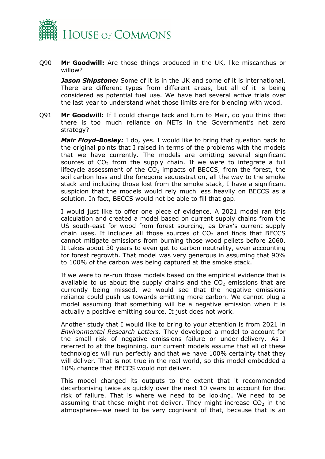

Q90 **Mr Goodwill:** Are those things produced in the UK, like miscanthus or willow?

*Jason Shipstone:* Some of it is in the UK and some of it is international. There are different types from different areas, but all of it is being considered as potential fuel use. We have had several active trials over the last year to understand what those limits are for blending with wood.

Q91 **Mr Goodwill:** If I could change tack and turn to Mair, do you think that there is too much reliance on NETs in the Government's net zero strategy?

*Mair Floyd-Bosley:* I do, yes. I would like to bring that question back to the original points that I raised in terms of the problems with the models that we have currently. The models are omitting several significant sources of  $CO<sub>2</sub>$  from the supply chain. If we were to integrate a full lifecycle assessment of the  $CO<sub>2</sub>$  impacts of BECCS, from the forest, the soil carbon loss and the foregone sequestration, all the way to the smoke stack and including those lost from the smoke stack, I have a significant suspicion that the models would rely much less heavily on BECCS as a solution. In fact, BECCS would not be able to fill that gap.

I would just like to offer one piece of evidence. A 2021 model ran this calculation and created a model based on current supply chains from the US south-east for wood from forest sourcing, as Drax's current supply chain uses. It includes all those sources of  $CO<sub>2</sub>$  and finds that BECCS cannot mitigate emissions from burning those wood pellets before 2060. It takes about 30 years to even get to carbon neutrality, even accounting for forest regrowth. That model was very generous in assuming that 90% to 100% of the carbon was being captured at the smoke stack.

If we were to re-run those models based on the empirical evidence that is available to us about the supply chains and the  $CO<sub>2</sub>$  emissions that are currently being missed, we would see that the negative emissions reliance could push us towards emitting more carbon. We cannot plug a model assuming that something will be a negative emission when it is actually a positive emitting source. It just does not work.

Another study that I would like to bring to your attention is from 2021 in *Environmental Research Letters*. They developed a model to account for the small risk of negative emissions failure or under-delivery. As I referred to at the beginning, our current models assume that all of these technologies will run perfectly and that we have 100% certainty that they will deliver. That is not true in the real world, so this model embedded a 10% chance that BECCS would not deliver.

This model changed its outputs to the extent that it recommended decarbonising twice as quickly over the next 10 years to account for that risk of failure. That is where we need to be looking. We need to be assuming that these might not deliver. They might increase  $CO<sub>2</sub>$  in the atmosphere—we need to be very cognisant of that, because that is an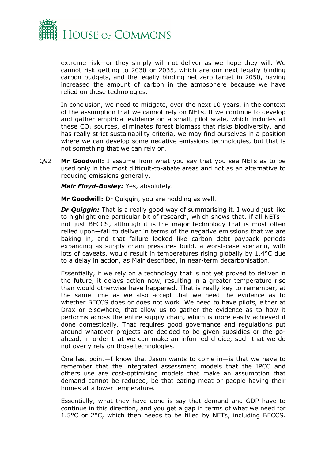

extreme risk—or they simply will not deliver as we hope they will. We cannot risk getting to 2030 or 2035, which are our next legally binding carbon budgets, and the legally binding net zero target in 2050, having increased the amount of carbon in the atmosphere because we have relied on these technologies.

In conclusion, we need to mitigate, over the next 10 years, in the context of the assumption that we cannot rely on NETs. If we continue to develop and gather empirical evidence on a small, pilot scale, which includes all these  $CO<sub>2</sub>$  sources, eliminates forest biomass that risks biodiversity, and has really strict sustainability criteria, we may find ourselves in a position where we can develop some negative emissions technologies, but that is not something that we can rely on.

Q92 **Mr Goodwill:** I assume from what you say that you see NETs as to be used only in the most difficult-to-abate areas and not as an alternative to reducing emissions generally.

*Mair Floyd-Bosley:* Yes, absolutely.

**Mr Goodwill:** Dr Quiggin, you are nodding as well.

*Dr Quiggin:* That is a really good way of summarising it. I would just like to highlight one particular bit of research, which shows that, if all NETs not just BECCS, although it is the major technology that is most often relied upon—fail to deliver in terms of the negative emissions that we are baking in, and that failure looked like carbon debt payback periods expanding as supply chain pressures build, a worst-case scenario, with lots of caveats, would result in temperatures rising globally by 1.4°C due to a delay in action, as Mair described, in near-term decarbonisation.

Essentially, if we rely on a technology that is not yet proved to deliver in the future, it delays action now, resulting in a greater temperature rise than would otherwise have happened. That is really key to remember, at the same time as we also accept that we need the evidence as to whether BECCS does or does not work. We need to have pilots, either at Drax or elsewhere, that allow us to gather the evidence as to how it performs across the entire supply chain, which is more easily achieved if done domestically. That requires good governance and regulations put around whatever projects are decided to be given subsidies or the goahead, in order that we can make an informed choice, such that we do not overly rely on those technologies.

One last point—I know that Jason wants to come in—is that we have to remember that the integrated assessment models that the IPCC and others use are cost-optimising models that make an assumption that demand cannot be reduced, be that eating meat or people having their homes at a lower temperature.

Essentially, what they have done is say that demand and GDP have to continue in this direction, and you get a gap in terms of what we need for 1.5°C or 2°C, which then needs to be filled by NETs, including BECCS.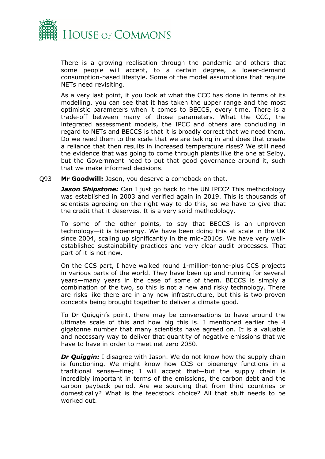

There is a growing realisation through the pandemic and others that some people will accept, to a certain degree, a lower-demand consumption-based lifestyle. Some of the model assumptions that require NETs need revisiting.

As a very last point, if you look at what the CCC has done in terms of its modelling, you can see that it has taken the upper range and the most optimistic parameters when it comes to BECCS, every time. There is a trade-off between many of those parameters. What the CCC, the integrated assessment models, the IPCC and others are concluding in regard to NETs and BECCS is that it is broadly correct that we need them. Do we need them to the scale that we are baking in and does that create a reliance that then results in increased temperature rises? We still need the evidence that was going to come through plants like the one at Selby, but the Government need to put that good governance around it, such that we make informed decisions.

Q93 **Mr Goodwill:** Jason, you deserve a comeback on that.

*Jason Shipstone:* Can I just go back to the UN IPCC? This methodology was established in 2003 and verified again in 2019. This is thousands of scientists agreeing on the right way to do this, so we have to give that the credit that it deserves. It is a very solid methodology.

To some of the other points, to say that BECCS is an unproven technology—it is bioenergy. We have been doing this at scale in the UK since 2004, scaling up significantly in the mid-2010s. We have very wellestablished sustainability practices and very clear audit processes. That part of it is not new.

On the CCS part, I have walked round 1-million-tonne-plus CCS projects in various parts of the world. They have been up and running for several years—many years in the case of some of them. BECCS is simply a combination of the two, so this is not a new and risky technology. There are risks like there are in any new infrastructure, but this is two proven concepts being brought together to deliver a climate good.

To Dr Quiggin's point, there may be conversations to have around the ultimate scale of this and how big this is. I mentioned earlier the 4 gigatonne number that many scientists have agreed on. It is a valuable and necessary way to deliver that quantity of negative emissions that we have to have in order to meet net zero 2050.

*Dr Quiggin:* I disagree with Jason. We do not know how the supply chain is functioning. We might know how CCS or bioenergy functions in a traditional sense—fine; I will accept that—but the supply chain is incredibly important in terms of the emissions, the carbon debt and the carbon payback period. Are we sourcing that from third countries or domestically? What is the feedstock choice? All that stuff needs to be worked out.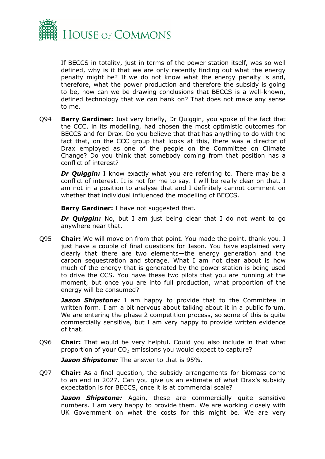

If BECCS in totality, just in terms of the power station itself, was so well defined, why is it that we are only recently finding out what the energy penalty might be? If we do not know what the energy penalty is and, therefore, what the power production and therefore the subsidy is going to be, how can we be drawing conclusions that BECCS is a well-known, defined technology that we can bank on? That does not make any sense to me.

Q94 **Barry Gardiner:** Just very briefly, Dr Quiggin, you spoke of the fact that the CCC, in its modelling, had chosen the most optimistic outcomes for BECCS and for Drax. Do you believe that that has anything to do with the fact that, on the CCC group that looks at this, there was a director of Drax employed as one of the people on the Committee on Climate Change? Do you think that somebody coming from that position has a conflict of interest?

*Dr Quiggin:* I know exactly what you are referring to. There may be a conflict of interest. It is not for me to say. I will be really clear on that. I am not in a position to analyse that and I definitely cannot comment on whether that individual influenced the modelling of BECCS.

**Barry Gardiner:** I have not suggested that.

*Dr Quiggin:* No, but I am just being clear that I do not want to go anywhere near that.

Q95 **Chair:** We will move on from that point. You made the point, thank you. I just have a couple of final questions for Jason. You have explained very clearly that there are two elements—the energy generation and the carbon sequestration and storage. What I am not clear about is how much of the energy that is generated by the power station is being used to drive the CCS. You have these two pilots that you are running at the moment, but once you are into full production, what proportion of the energy will be consumed?

**Jason Shipstone:** I am happy to provide that to the Committee in written form. I am a bit nervous about talking about it in a public forum. We are entering the phase 2 competition process, so some of this is quite commercially sensitive, but I am very happy to provide written evidence of that.

Q96 **Chair:** That would be very helpful. Could you also include in that what proportion of your  $CO<sub>2</sub>$  emissions you would expect to capture?

*Jason Shipstone:* The answer to that is 95%.

Q97 **Chair:** As a final question, the subsidy arrangements for biomass come to an end in 2027. Can you give us an estimate of what Drax's subsidy expectation is for BECCS, once it is at commercial scale?

**Jason Shipstone:** Again, these are commercially quite sensitive numbers. I am very happy to provide them. We are working closely with UK Government on what the costs for this might be. We are very